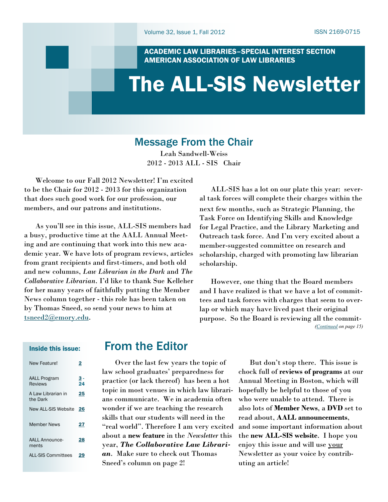ACADEMIC LAW LIBRARIES–SPECIAL INTEREST SECTION AMERICAN ASSOCIATION OF LAW LIBRARIES

# <span id="page-0-0"></span>The ALL-SIS Newsletter

## Message From the Chair

Leah Sandwell-Weiss 2012 - 2013 ALL - SIS Chair

 Welcome to our Fall 2012 Newsletter! I'm excited to be the Chair for 2012 - 2013 for this organization that does such good work for our profession, our members, and our patrons and institutions.

 As you'll see in this issue, ALL-SIS members had a busy, productive time at the AALL Annual Meeting and are continuing that work into this new academic year. We have lots of program reviews, articles from grant recipients and first-timers, and both old and new columns, *Law Librarian in the Dark* and *The Collaborative Librarian*. I'd like to thank Sue Kelleher for her many years of faithfully putting the Member News column together - this role has been taken on by Thomas Sneed, so send your news to him at [tsneed2@emory.edu.](mailto:tsneed2@emory.edu)

### Inside this issue:

| New Feature!                   | 2              |
|--------------------------------|----------------|
| <b>AALL Program</b><br>Reviews | $\frac{3}{24}$ |
| A Law Librarian in<br>the Dark | 25             |
| <b>New ALL-SIS Website</b>     | 26             |
| Member News                    | 27             |
| AALL Announce-<br>ments        | 28             |
| <b>ALL-SIS Committees</b>      |                |

## From the Editor

 Over the last few years the topic of law school graduates' preparedness for practice (or lack thereof) has been a hot topic in most venues in which law librarians communicate. We in academia often wonder if we are teaching the research skills that our students will need in the "real world". Therefore I am very excited about a **new feature** in the *Newsletter* this year, *The Collaborative Law Librarian*. Make sure to check out Thomas Sneed's column on page 2!

 ALL-SIS has a lot on our plate this year: several task forces will complete their charges within the next few months, such as Strategic Planning, the Task Force on Identifying Skills and Knowledge for Legal Practice, and the Library Marketing and Outreach task force. And I'm very excited about a member-suggested committee on research and scholarship, charged with promoting law librarian scholarship.

 However, one thing that the Board members and I have realized is that we have a lot of committees and task forces with charges that seem to overlap or which may have lived past their original purpose. So the Board is reviewing all the commit- *([Continued](#page-14-0) on page 15)*

> But don't stop there. This issue is chock full of **reviews of programs** at our Annual Meeting in Boston, which will hopefully be helpful to those of you who were unable to attend. There is also lots of **Member News**, a **DVD** set to read about, **AALL announcements**, and some important information about the **new ALL-SIS website**. I hope you enjoy this issue and will use your Newsletter as your voice by contributing an article!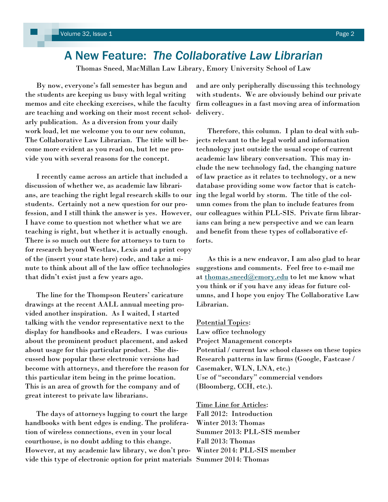## <span id="page-1-0"></span>A New Feature: *The Collaborative Law Librarian*

Thomas Sneed, MacMillan Law Library, Emory University School of Law

 By now, everyone's fall semester has begun and the students are keeping us busy with legal writing memos and cite checking exercises, while the faculty are teaching and working on their most recent scholarly publication. As a diversion from your daily work load, let me welcome you to our new column, The Collaborative Law Librarian. The title will become more evident as you read on, but let me provide you with several reasons for the concept.

 I recently came across an article that included a discussion of whether we, as academic law librarians, are teaching the right legal research skills to our students. Certainly not a new question for our profession, and I still think the answer is yes. However, I have come to question not whether what we are teaching is right, but whether it is actually enough. There is so much out there for attorneys to turn to for research beyond Westlaw, Lexis and a print copy of the (insert your state here) code, and take a minute to think about all of the law office technologies that didn't exist just a few years ago.

 The line for the Thompson Reuters' caricature drawings at the recent AALL annual meeting provided another inspiration. As I waited, I started talking with the vendor representative next to the display for handbooks and eReaders. I was curious about the prominent product placement, and asked about usage for this particular product. She discussed how popular these electronic versions had become with attorneys, and therefore the reason for this particular item being in the prime location. This is an area of growth for the company and of great interest to private law librarians.

 The days of attorneys lugging to court the large handbooks with bent edges is ending. The proliferation of wireless connections, even in your local courthouse, is no doubt adding to this change. However, at my academic law library, we don't provide this type of electronic option for print materials Summer 2014: Thomas

and are only peripherally discussing this technology with students. We are obviously behind our private firm colleagues in a fast moving area of information delivery.

 Therefore, this column. I plan to deal with subjects relevant to the legal world and information technology just outside the usual scope of current academic law library conversation. This may include the new technology fad, the changing nature of law practice as it relates to technology, or a new database providing some wow factor that is catching the legal world by storm. The title of the column comes from the plan to include features from our colleagues within PLL-SIS. Private firm librarians can bring a new perspective and we can learn and benefit from these types of collaborative efforts.

 As this is a new endeavor, I am also glad to hear suggestions and comments. Feel free to e-mail me at [thomas.sneed@emory.edu](mailto:thomas.sneed@emory.edu) to let me know what you think or if you have any ideas for future columns, and I hope you enjoy The Collaborative Law Librarian.

### Potential Topics:

Law office technology Project Management concepts Potential / current law school classes on these topics Research patterns in law firms (Google, Fastcase / Casemaker, WLN, LNA, etc.) Use of "secondary" commercial vendors (Bloomberg, CCH, etc.).

Time Line for Articles: Fall 2012: Introduction Winter 2013: Thomas Summer 2013: PLL-SIS member Fall 2013: Thomas Winter 2014: PLL-SIS member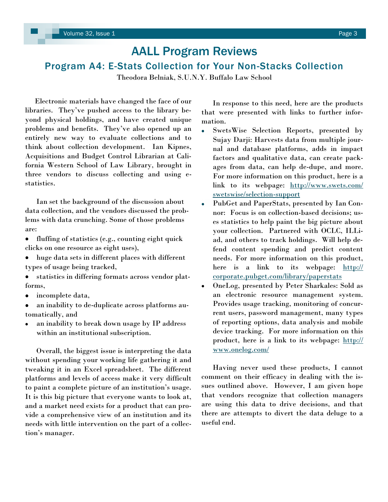## <span id="page-2-0"></span>AALL Program Reviews Program A4: E-Stats Collection for Your Non-Stacks Collection

Theodora Belniak, S.U.N.Y. Buffalo Law School

 Electronic materials have changed the face of our libraries. They've pushed access to the library beyond physical holdings, and have created unique problems and benefits. They've also opened up an entirely new way to evaluate collections and to think about collection development. Ian Kipnes, Acquisitions and Budget Control Librarian at California Western School of Law Library, brought in three vendors to discuss collecting and using estatistics.

 Ian set the background of the discussion about data collection, and the vendors discussed the problems with data crunching. Some of those problems are:

 $\bullet$ fluffing of statistics (e.g., counting eight quick clicks on one resource as eight uses),

- huge data sets in different places with different types of usage being tracked,
- statistics in differing formats across vendor platforms,
- incomplete data,  $\bullet$
- an inability to de-duplicate across platforms automatically, and
- an inability to break down usage by IP address within an institutional subscription.

 Overall, the biggest issue is interpreting the data without spending your working life gathering it and tweaking it in an Excel spreadsheet. The different platforms and levels of access make it very difficult to paint a complete picture of an institution's usage. It is this big picture that everyone wants to look at, and a market need exists for a product that can provide a comprehensive view of an institution and its needs with little intervention on the part of a collection's manager.

 In response to this need, here are the products that were presented with links to further information.

- SwetsWise Selection Reports, presented by  $\bullet$ Sujay Darji: Harvests data from multiple journal and database platforms, adds in impact factors and qualitative data, can create packages from data, can help de-dupe, and more. For more information on this product, here is a link to its webpage: [http://www.swets.com/](http://www.swets.com/swetswise/selection-support) [swetswise/selection-support](http://www.swets.com/swetswise/selection-support)
- PubGet and PaperStats, presented by Ian Connor: Focus is on collection-based decisions; uses statistics to help paint the big picture about your collection. Partnered with OCLC, ILLiad, and others to track holdings. Will help defend content spending and predict content needs. For more information on this product, here is a link to its webpage: [http://](http://corporate.pubget.com/library/paperstats) [corporate.pubget.com/library/paperstats](http://corporate.pubget.com/library/paperstats)
- OneLog, presented by Peter Sharkales: Sold as an electronic resource management system. Provides usage tracking, monitoring of concurrent users, password management, many types of reporting options, data analysis and mobile device tracking. For more information on this product, here is a link to its webpage: [http://](http://www.onelog.com/) [www.onelog.com/](http://www.onelog.com/)

 Having never used these products, I cannot comment on their efficacy in dealing with the issues outlined above. However, I am given hope that vendors recognize that collection managers are using this data to drive decisions, and that there are attempts to divert the data deluge to a useful end.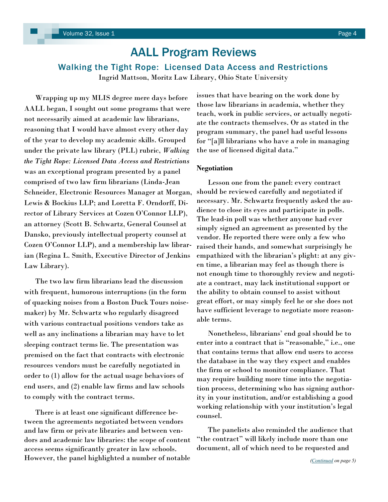### <span id="page-3-0"></span>Walking the Tight Rope: Licensed Data Access and Restrictions

Ingrid Mattson, Moritz Law Library, Ohio State University

 Wrapping up my MLIS degree mere days before AALL began, I sought out some programs that were not necessarily aimed at academic law librarians, reasoning that I would have almost every other day of the year to develop my academic skills. Grouped under the private law library (PLL) rubric, *Walking the Tight Rope: Licensed Data Access and Restrictions*  was an exceptional program presented by a panel comprised of two law firm librarians (Linda-Jean Schneider, Electronic Resources Manager at Morgan, Lewis & Bockius LLP; and Loretta F. Orndorff, Director of Library Services at Cozen O'Connor LLP), an attorney (Scott B. Schwartz, General Counsel at Dansko, previously intellectual property counsel at Cozen O'Connor LLP), and a membership law librarian (Regina L. Smith, Executive Director of Jenkins Law Library).

 The two law firm librarians lead the discussion with frequent, humorous interruptions (in the form of quacking noises from a Boston Duck Tours noisemaker) by Mr. Schwartz who regularly disagreed with various contractual positions vendors take as well as any inclinations a librarian may have to let sleeping contract terms lie. The presentation was premised on the fact that contracts with electronic resources vendors must be carefully negotiated in order to (1) allow for the actual usage behaviors of end users, and (2) enable law firms and law schools to comply with the contract terms.

 There is at least one significant difference between the agreements negotiated between vendors and law firm or private libraries and between vendors and academic law libraries: the scope of content access seems significantly greater in law schools. However, the panel highlighted a number of notable issues that have bearing on the work done by those law librarians in academia, whether they teach, work in public services, or actually negotiate the contracts themselves. Or as stated in the program summary, the panel had useful lessons for "[a]ll librarians who have a role in managing the use of licensed digital data."

### **Negotiation**

 Lesson one from the panel: every contract should be reviewed carefully and negotiated if necessary. Mr. Schwartz frequently asked the audience to close its eyes and participate in polls. The lead-in poll was whether anyone had ever simply signed an agreement as presented by the vendor. He reported there were only a few who raised their hands, and somewhat surprisingly he empathized with the librarian's plight: at any given time, a librarian may feel as though there is not enough time to thoroughly review and negotiate a contract, may lack institutional support or the ability to obtain counsel to assist without great effort, or may simply feel he or she does not have sufficient leverage to negotiate more reasonable terms.

 Nonetheless, librarians' end goal should be to enter into a contract that is "reasonable," i.e., one that contains terms that allow end users to access the database in the way they expect and enables the firm or school to monitor compliance. That may require building more time into the negotiation process, determining who has signing authority in your institution, and/or establishing a good working relationship with your institution's legal counsel.

 The panelists also reminded the audience that "the contract" will likely include more than one document, all of which need to be requested and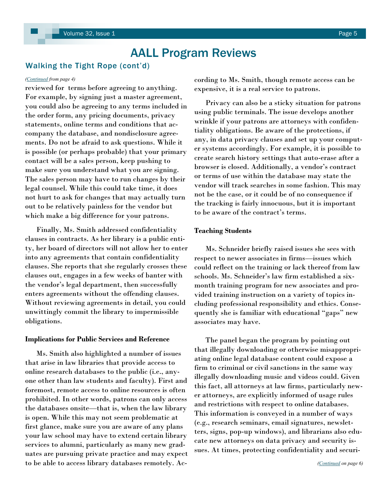### <span id="page-4-0"></span>Walking the Tight Rope (cont'd)

reviewed for terms before agreeing to anything. For example, by signing just a master agreement, you could also be agreeing to any terms included in the order form, any pricing documents, privacy statements, online terms and conditions that accompany the database, and nondisclosure agreements. Do not be afraid to ask questions. While it is possible (or perhaps probable) that your primary contact will be a sales person, keep pushing to make sure you understand what you are signing. The sales person may have to run changes by their legal counsel. While this could take time, it does not hurt to ask for changes that may actually turn out to be relatively painless for the vendor but which make a big difference for your patrons.

 Finally, Ms. Smith addressed confidentiality clauses in contracts. As her library is a public entity, her board of directors will not allow her to enter into any agreements that contain confidentiality clauses. She reports that she regularly crosses these clauses out, engages in a few weeks of banter with the vendor's legal department, then successfully enters agreements without the offending clauses. Without reviewing agreements in detail, you could unwittingly commit the library to impermissible obligations.

### **Implications for Public Services and Reference**

 Ms. Smith also highlighted a number of issues that arise in law libraries that provide access to online research databases to the public (i.e., anyone other than law students and faculty). First and foremost, remote access to online resources is often prohibited. In other words, patrons can only access the databases onsite—that is, when the law library is open. While this may not seem problematic at first glance, make sure you are aware of any plans your law school may have to extend certain library services to alumni, particularly as many new graduates are pursuing private practice and may expect to be able to access library databases remotely. Ac-

*[\(Continued](#page-3-0) from page 4)* cording to Ms. Smith, though remote access can be expensive, it is a real service to patrons.

> Privacy can also be a sticky situation for patrons using public terminals. The issue develops another wrinkle if your patrons are attorneys with confidentiality obligations. Be aware of the protections, if any, in data privacy clauses and set up your computer systems accordingly. For example, it is possible to create search history settings that auto-erase after a browser is closed. Additionally, a vendor's contract or terms of use within the database may state the vendor will track searches in some fashion. This may not be the case, or it could be of no consequence if the tracking is fairly innocuous, but it is important to be aware of the contract's terms.

### **Teaching Students**

 Ms. Schneider briefly raised issues she sees with respect to newer associates in firms—issues which could reflect on the training or lack thereof from law schools. Ms. Schneider's law firm established a sixmonth training program for new associates and provided training instruction on a variety of topics including professional responsibility and ethics. Consequently she is familiar with educational "gaps" new associates may have.

 The panel began the program by pointing out that illegally downloading or otherwise misappropriating online legal database content could expose a firm to criminal or civil sanctions in the same way illegally downloading music and videos could. Given this fact, all attorneys at law firms, particularly newer attorneys, are explicitly informed of usage rules and restrictions with respect to online databases. This information is conveyed in a number of ways (e.g., research seminars, email signatures, newsletters, signs, pop-up windows), and librarians also educate new attorneys on data privacy and security issues. At times, protecting confidentiality and securi-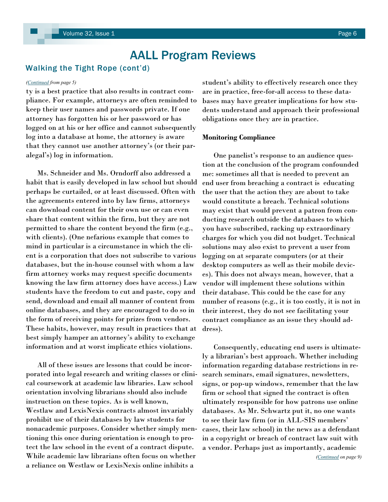### <span id="page-5-0"></span>Walking the Tight Rope (cont'd)

ty is a best practice that also results in contract compliance. For example, attorneys are often reminded to keep their user names and passwords private. If one attorney has forgotten his or her password or has logged on at his or her office and cannot subsequently log into a database at home, the attorney is aware that they cannot use another attorney's (or their paralegal's) log in information.

 Ms. Schneider and Ms. Orndorff also addressed a habit that is easily developed in law school but should perhaps be curtailed, or at least discussed. Often with the agreements entered into by law firms, attorneys can download content for their own use or can even share that content within the firm, but they are not permitted to share the content beyond the firm (e.g., with clients). (One nefarious example that comes to mind in particular is a circumstance in which the client is a corporation that does not subscribe to various databases, but the in-house counsel with whom a law firm attorney works may request specific documents knowing the law firm attorney does have access.) Law students have the freedom to cut and paste, copy and send, download and email all manner of content from online databases, and they are encouraged to do so in the form of receiving points for prizes from vendors. These habits, however, may result in practices that at best simply hamper an attorney's ability to exchange information and at worst implicate ethics violations.

 All of these issues are lessons that could be incorporated into legal research and writing classes or clinical coursework at academic law libraries. Law school orientation involving librarians should also include instruction on these topics. As is well known, Westlaw and LexisNexis contracts almost invariably prohibit use of their databases by law students for nonacademic purposes. Consider whether simply mentioning this once during orientation is enough to protect the law school in the event of a contract dispute. While academic law librarians often focus on whether a reliance on Westlaw or LexisNexis online inhibits a

*([Continued](#page-4-0) from page 5)* student's ability to effectively research once they are in practice, free-for-all access to these databases may have greater implications for how students understand and approach their professional obligations once they are in practice.

### **Monitoring Compliance**

 One panelist's response to an audience question at the conclusion of the program confounded me: sometimes all that is needed to prevent an end user from breaching a contract is educating the user that the action they are about to take would constitute a breach. Technical solutions may exist that would prevent a patron from conducting research outside the databases to which you have subscribed, racking up extraordinary charges for which you did not budget. Technical solutions may also exist to prevent a user from logging on at separate computers (or at their desktop computers as well as their mobile devices). This does not always mean, however, that a vendor will implement these solutions within their database. This could be the case for any number of reasons (e.g., it is too costly, it is not in their interest, they do not see facilitating your contract compliance as an issue they should address).

 Consequently, educating end users is ultimately a librarian's best approach. Whether including information regarding database restrictions in research seminars, email signatures, newsletters, signs, or pop-up windows, remember that the law firm or school that signed the contract is often ultimately responsible for how patrons use online databases. As Mr. Schwartz put it, no one wants to see their law firm (or in ALL-SIS members' cases, their law school) in the news as a defendant in a copyright or breach of contract law suit with a vendor. Perhaps just as importantly, academic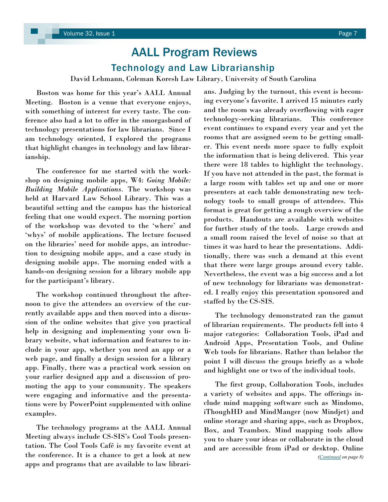## AALL Program Reviews Technology and Law Librarianship

David Lehmann, Coleman Koresh Law Library, University of South Carolina

<span id="page-6-0"></span> Boston was home for this year's AALL Annual Meeting. Boston is a venue that everyone enjoys, with something of interest for every taste. The conference also had a lot to offer in the smorgasbord of technology presentations for law librarians. Since I am technology oriented, I explored the programs that highlight changes in technology and law librarianship.

 The conference for me started with the workshop on designing mobile apps, W4: *Going Mobile: Building Mobile Applications.* The workshop was held at Harvard Law School Library. This was a beautiful setting and the campus has the historical feeling that one would expect. The morning portion of the workshop was devoted to the 'where' and ‗whys' of mobile applications. The lecture focused on the libraries' need for mobile apps, an introduction to designing mobile apps, and a case study in designing mobile apps. The morning ended with a hands-on designing session for a library mobile app for the participant's library.

 The workshop continued throughout the afternoon to give the attendees an overview of the currently available apps and then moved into a discussion of the online websites that give you practical help in designing and implementing your own library website, what information and features to include in your app, whether you need an app or a web page, and finally a design session for a library app. Finally, there was a practical work session on your earlier designed app and a discussion of promoting the app to your community. The speakers were engaging and informative and the presentations were by PowerPoint supplemented with online examples.

 The technology programs at the AALL Annual Meeting always include CS-SIS's Cool Tools presentation. The Cool Tools Café is my favorite event at the conference. It is a chance to get a look at new apps and programs that are available to law librarians. Judging by the turnout, this event is becoming everyone's favorite. I arrived 15 minutes early and the room was already overflowing with eager technology-seeking librarians. This conference event continues to expand every year and yet the rooms that are assigned seem to be getting smaller. This event needs more space to fully exploit the information that is being delivered. This year there were 18 tables to highlight the technology. If you have not attended in the past, the format is a large room with tables set up and one or more presenters at each table demonstrating new technology tools to small groups of attendees. This format is great for getting a rough overview of the products. Handouts are available with websites for further study of the tools. Large crowds and a small room raised the level of noise so that at times it was hard to hear the presentations. Additionally, there was such a demand at this event that there were large groups around every table. Nevertheless, the event was a big success and a lot of new technology for librarians was demonstrated. I really enjoy this presentation sponsored and staffed by the CS-SIS.

 The technology demonstrated ran the gamut of librarian requirements. The products fell into 4 major categories: Collaboration Tools, iPad and Android Apps, Presentation Tools, and Online Web tools for librarians. Rather than belabor the point I will discuss the groups briefly as a whole and highlight one or two of the individual tools.

 The first group, Collaboration Tools, includes a variety of websites and apps. The offerings include mind mapping software such as Mindomo, iThoughHD and MindManger (now Mindjet) and online storage and sharing apps, such as Dropbox, Box, and Teambox. Mind mapping tools allow you to share your ideas or collaborate in the cloud and are accessible from iPad or desktop. Online *[\(Continued](#page-7-0) on page 8)*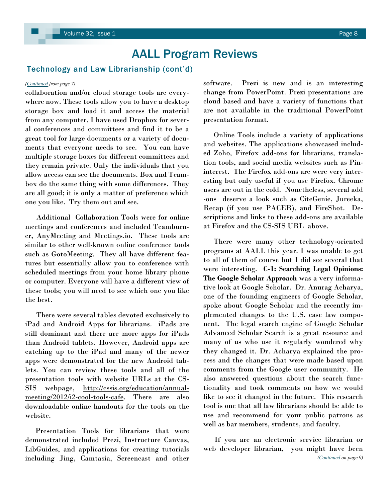### <span id="page-7-0"></span>Technology and Law Librarianship (cont'd)

collaboration and/or cloud storage tools are everywhere now. These tools allow you to have a desktop storage box and load it and access the material from any computer. I have used Dropbox for several conferences and committees and find it to be a great tool for large documents or a variety of documents that everyone needs to see. You can have multiple storage boxes for different committees and they remain private. Only the individuals that you allow access can see the documents. Box and Teambox do the same thing with some differences. They are all good; it is only a matter of preference which one you like. Try them out and see.

 Additional Collaboration Tools were for online meetings and conferences and included Teamburner, AnyMeeting and Meetings.io. These tools are similar to other well-known online conference tools such as GotoMeeting. They all have different features but essentially allow you to conference with scheduled meetings from your home library phone or computer. Everyone will have a different view of these tools; you will need to see which one you like the best.

 There were several tables devoted exclusively to iPad and Android Apps for librarians. iPads are still dominant and there are more apps for iPads than Android tablets. However, Android apps are catching up to the iPad and many of the newer apps were demonstrated for the new Android tablets. You can review these tools and all of the presentation tools with website URLs at the CS-SIS webpage, [http://cssis.org/education/annual](http://cssis.org/education/annual-meeting/2012/i2-cool-tools-cafe)[meeting/2012/i2-cool-tools-cafe.](http://cssis.org/education/annual-meeting/2012/i2-cool-tools-cafe) There are also downloadable online handouts for the tools on the website.

 Presentation Tools for librarians that were demonstrated included Prezi, Instructure Canvas, LibGuides, and applications for creating tutorials including Jing, Camtasia, Screencast and other

*[\(Continued](#page-6-0) from page 7)* software. Prezi is new and is an interesting change from PowerPoint. Prezi presentations are cloud based and have a variety of functions that are not available in the traditional PowerPoint presentation format.

> Online Tools include a variety of applications and websites. The applications showcased included Zoho, Firefox add-ons for librarians, translation tools, and social media websites such as Pininterest. The Firefox add-ons are were very interesting but only useful if you use Firefox. Chrome users are out in the cold. Nonetheless, several add -ons deserve a look such as CiteGenie, Jureeka, Recap (if you use PACER), and FireShot. Descriptions and links to these add-ons are available at Firefox and the CS-SIS URL above.

> There were many other technology-oriented programs at AALL this year. I was unable to get to all of them of course but I did see several that were interesting. **C-1: Searching Legal Opinions: The Google Scholar Approach** was a very informative look at Google Scholar. Dr. Anurag Acharya, one of the founding engineers of Google Scholar, spoke about Google Scholar and the recently implemented changes to the U.S. case law component. The legal search engine of Google Scholar Advanced Scholar Search is a great resource and many of us who use it regularly wondered why they changed it. Dr. Acharya explained the process and the changes that were made based upon comments from the Google user community. He also answered questions about the search functionality and took comments on how we would like to see it changed in the future. This research tool is one that all law librarians should be able to use and recommend for your public patrons as well as bar members, students, and faculty.

> If you are an electronic service librarian or web developer librarian, you might have been *([Continued](#page-8-0) on page 9)*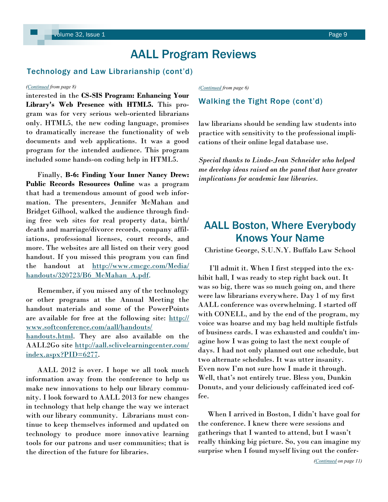### <span id="page-8-0"></span>Technology and Law Librarianship (cont'd)

### *([Continued](#page-7-0) from page 8)*

interested in the **CS-SIS Program: Enhancing Your Library's Web Presence with HTML5.** This program was for very serious web-oriented librarians only. HTML5, the new coding language, promises to dramatically increase the functionality of web documents and web applications. It was a good program for the intended audience. This program included some hands-on coding help in HTML5.

 Finally, **B-6: Finding Your Inner Nancy Drew: Public Records Resources Online** was a program that had a tremendous amount of good web information. The presenters, Jennifer McMahan and Bridget Gilhool, walked the audience through finding free web sites for real property data, birth/ death and marriage/divorce records, company affiliations, professional licenses, court records, and more. The websites are all listed on their very good handout. If you missed this program you can find the handout at [http://www.cmcgc.com/Media/](http://www.cmcgc.com/Media/handouts/320723/B6_McMahan_A.pdf) [handouts/320723/B6\\_McMahan\\_A.pdf.](http://www.cmcgc.com/Media/handouts/320723/B6_McMahan_A.pdf)

 Remember, if you missed any of the technology or other programs at the Annual Meeting the handout materials and some of the PowerPoints are available for free at the following site: [http://](http://www.softconference.com/aall/handouts/handouts.html) [www.softconference.com/aall/handouts/](http://www.softconference.com/aall/handouts/handouts.html) [handouts.html.](http://www.softconference.com/aall/handouts/handouts.html) They are also available on the AALL2Go site [http://aall.sclivelearningcenter.com/](http://aall.sclivelearningcenter.com/index.aspx?PID=6277) [index.aspx?PID=6277.](http://aall.sclivelearningcenter.com/index.aspx?PID=6277)

 AALL 2012 is over. I hope we all took much information away from the conference to help us make new innovations to help our library community. I look forward to AALL 2013 for new changes in technology that help change the way we interact with our library community. Librarians must continue to keep themselves informed and updated on technology to produce more innovative learning tools for our patrons and user communities; that is the direction of the future for libraries.

*[\(Continued](#page-5-0) from page 6)*

### Walking the Tight Rope (cont'd)

law librarians should be sending law students into practice with sensitivity to the professional implications of their online legal database use.

*Special thanks to Linda-Jean Schneider who helped me develop ideas raised on the panel that have greater implications for academic law libraries.*

## AALL Boston, Where Everybody Knows Your Name

Christine George, S.U.N.Y. Buffalo Law School

 I'll admit it. When I first stepped into the exhibit hall, I was ready to step right back out. It was so big, there was so much going on, and there were law librarians everywhere. Day 1 of my first AALL conference was overwhelming. I started off with CONELL, and by the end of the program, my voice was hoarse and my bag held multiple fistfuls of business cards. I was exhausted and couldn't imagine how I was going to last the next couple of days. I had not only planned out one schedule, but two alternate schedules. It was utter insanity. Even now I'm not sure how I made it through. Well, that's not entirely true. Bless you, Dunkin Donuts, and your deliciously caffeinated iced coffee.

 When I arrived in Boston, I didn't have goal for the conference. I knew there were sessions and gatherings that I wanted to attend, but I wasn't really thinking big picture. So, you can imagine my surprise when I found myself living out the confer-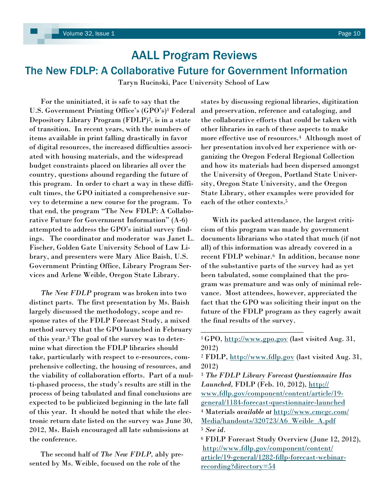## AALL Program Reviews The New FDLP: A Collaborative Future for Government Information

Taryn Rucinski, Pace University School of Law

 For the uninitiated, it is safe to say that the U.S. Government Printing Office's (GPO's)<sup>1</sup> Federal Depository Library Program (FDLP)2, is in a state of transition. In recent years, with the numbers of items available in print falling drastically in favor of digital resources, the increased difficulties associated with housing materials, and the widespread budget constraints placed on libraries all over the country, questions abound regarding the future of this program. In order to chart a way in these difficult times, the GPO initiated a comprehensive survey to determine a new course for the program. To that end, the program "The New FDLP: A Collaborative Future for Government Information"  $(A-6)$ attempted to address the GPO's initial survey findings. The coordinator and moderator was Janet L. Fischer, Golden Gate University School of Law Library, and presenters were Mary Alice Baish, U.S. Government Printing Office, Library Program Services and Arlene Weible, Oregon State Library.

 *The New FDLP* program was broken into two distinct parts. The first presentation by Ms. Baish largely discussed the methodology, scope and response rates of the FDLP Forecast Study, a mixed method survey that the GPO launched in February of this year.<sup>3</sup> The goal of the survey was to determine what direction the FDLP libraries should take, particularly with respect to e-resources, comprehensive collecting, the housing of resources, and the viability of collaboration efforts. Part of a multi-phased process, the study's results are still in the process of being tabulated and final conclusions are expected to be publicized beginning in the late fall of this year. It should be noted that while the electronic return date listed on the survey was June 30, 2012, Ms. Baish encouraged all late submissions at the conference.

 The second half of *The New FDLP,* ably presented by Ms. Weible, focused on the role of the

states by discussing regional libraries, digitization and preservation, reference and cataloging, and the collaborative efforts that could be taken with other libraries in each of these aspects to make more effective use of resources.4 Although most of her presentation involved her experience with organizing the Oregon Federal Regional Collection and how its materials had been dispersed amongst the University of Oregon, Portland State University, Oregon State University, and the Oregon State Library, other examples were provided for each of the other contexts.<sup>5</sup>

 With its packed attendance, the largest criticism of this program was made by government documents librarians who stated that much (if not all) of this information was already covered in a recent FDLP webinar.<sup>6</sup> In addition, because none of the substantive parts of the survey had as yet been tabulated, some complained that the program was premature and was only of minimal relevance. Most attendees, however, appreciated the fact that the GPO was soliciting their input on the future of the FDLP program as they eagerly await the final results of the survey.

\_\_\_\_\_\_\_\_\_\_\_\_\_\_\_\_\_\_\_\_\_\_\_\_\_\_\_

<sup>3</sup> *The FDLP Library Forecast Questionnaire Has Launched,* FDLP (Feb. 10, 2012), [http://](http://www.fdlp.gov/component/content/article/19-general/1184-forecast-questionnaire-launched) [www.fdlp.gov/component/content/article/19](http://www.fdlp.gov/component/content/article/19-general/1184-forecast-questionnaire-launched) [general/1184-forecast-questionnaire-launched](http://www.fdlp.gov/component/content/article/19-general/1184-forecast-questionnaire-launched) <sup>4</sup> Materials *available at* [http://www.cmcgc.com/](http://www.cmcgc.com/Media/handouts/320723/A6_Weible_A.pdf) [Media/handouts/320723/A6\\_Weible\\_A.pdf](http://www.cmcgc.com/Media/handouts/320723/A6_Weible_A.pdf) <sup>5</sup> *See id.* 

<sup>&</sup>lt;sup>1</sup>GPO, <http://www.gpo.gov> (last visited Aug. 31, 2012)

<sup>2</sup> FDLP, <http://www.fdlp.gov> (last visited Aug. 31, 2012)

<sup>6</sup> FDLP Forecast Study Overview (June 12, 2012), [http://www.fdlp.gov/component/content/](http://www.fdlp.gov/component/content/article/19-general/1282-fdlp-forecast-webinar-recording?directory=54) [article/19-general/1282-fdlp-forecast-webinar](http://www.fdlp.gov/component/content/article/19-general/1282-fdlp-forecast-webinar-recording?directory=54)[recording?directory=54](http://www.fdlp.gov/component/content/article/19-general/1282-fdlp-forecast-webinar-recording?directory=54)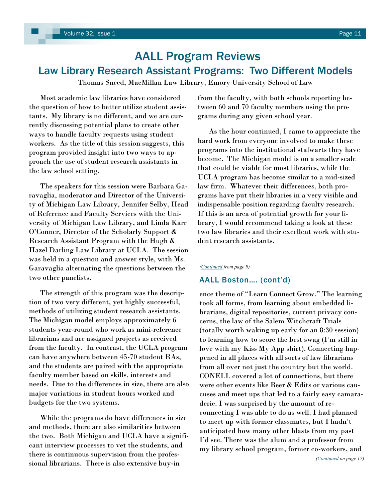## <span id="page-10-0"></span>AALL Program Reviews Law Library Research Assistant Programs: Two Different Models

Thomas Sneed, MacMillan Law Library, Emory University School of Law

 Most academic law libraries have considered the question of how to better utilize student assistants. My library is no different, and we are currently discussing potential plans to create other ways to handle faculty requests using student workers. As the title of this session suggests, this program provided insight into two ways to approach the use of student research assistants in the law school setting.

 The speakers for this session were Barbara Garavaglia, moderator and Director of the University of Michigan Law Library, Jennifer Selby, Head of Reference and Faculty Services with the University of Michigan Law Library, and Linda Karr O'Conner, Director of the Scholarly Support & Research Assistant Program with the Hugh & Hazel Darling Law Library at UCLA. The session was held in a question and answer style, with Ms. Garavaglia alternating the questions between the two other panelists.

 The strength of this program was the description of two very different, yet highly successful, methods of utilizing student research assistants. The Michigan model employs approximately 6 students year-round who work as mini-reference librarians and are assigned projects as received from the faculty. In contrast, the UCLA program can have anywhere between 45-70 student RAs, and the students are paired with the appropriate faculty member based on skills, interests and needs. Due to the differences in size, there are also major variations in student hours worked and budgets for the two systems.

 While the programs do have differences in size and methods, there are also similarities between the two. Both Michigan and UCLA have a significant interview processes to vet the students, and there is continuous supervision from the professional librarians. There is also extensive buy-in

from the faculty, with both schools reporting between 60 and 70 faculty members using the programs during any given school year.

 As the hour continued, I came to appreciate the hard work from everyone involved to make these programs into the institutional stalwarts they have become. The Michigan model is on a smaller scale that could be viable for most libraries, while the UCLA program has become similar to a mid-sized law firm. Whatever their differences, both programs have put their libraries in a very visible and indispensable position regarding faculty research. If this is an area of potential growth for your library, I would recommend taking a look at these two law libraries and their excellent work with student research assistants.

### *([Continued](#page-8-0) from page 9)*

### AALL Boston…. (cont'd)

ence theme of "Learn Connect Grow." The learning took all forms, from learning about embedded librarians, digital repositories, current privacy concerns, the law of the Salem Witchcraft Trials (totally worth waking up early for an 8:30 session) to learning how to score the best swag (I'm still in love with my Kiss My App shirt). Connecting happened in all places with all sorts of law librarians from all over not just the country but the world. CONELL covered a lot of connections, but there were other events like Beer & Edits or various caucuses and meet ups that led to a fairly easy camaraderie. I was surprised by the amount of reconnecting I was able to do as well. I had planned to meet up with former classmates, but I hadn't anticipated how many other blasts from my past I'd see. There was the alum and a professor from my library school program, former co-workers, and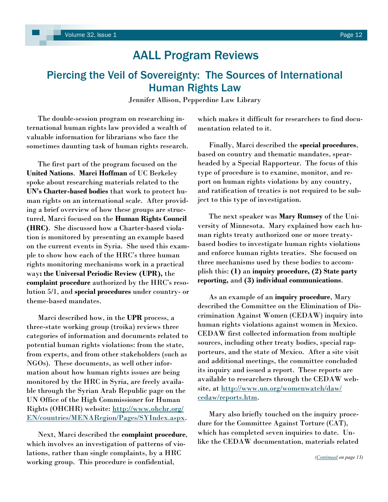## <span id="page-11-0"></span>Piercing the Veil of Sovereignty: The Sources of International Human Rights Law

Jennifer Allison, Pepperdine Law Library

 The double-session program on researching international human rights law provided a wealth of valuable information for librarians who face the sometimes daunting task of human rights research.

 The first part of the program focused on the **United Nations**. **Marci Hoffman** of UC Berkeley spoke about researching materials related to the **UN's Charter-based bodies** that work to protect human rights on an international scale. After providing a brief overview of how these groups are structured, Marci focused on the **Human Rights Council (HRC)**. She discussed how a Charter-based violation is monitored by presenting an example based on the current events in Syria. She used this example to show how each of the HRC's three human rights monitoring mechanisms work in a practical way**: the Universal Periodic Review (UPR),** the **complaint procedure** authorized by the HRC's resolution 5/1, and **special procedures** under country- or theme-based mandates.

 Marci described how, in the **UPR** process, a three-state working group (troika) reviews three categories of information and documents related to potential human rights violations: from the state, from experts, and from other stakeholders (such as NGOs). These documents, as well other information about how human rights issues are being monitored by the HRC in Syria, are freely available through the Syrian Arab Republic page on the UN Office of the High Commissioner for Human Rights (OHCHR) website: [http://www.ohchr.org/](http://www.ohchr.org/EN/countries/MENARegion/Pages/SYIndex.aspx) [EN/countries/MENARegion/Pages/SYIndex.aspx.](http://www.ohchr.org/EN/countries/MENARegion/Pages/SYIndex.aspx)

 Next, Marci described the **complaint procedure**, which involves an investigation of patterns of violations, rather than single complaints, by a HRC working group. This procedure is confidential,

which makes it difficult for researchers to find documentation related to it.

 Finally, Marci described the **special procedures**, based on country and thematic mandates, spearheaded by a Special Rapporteur. The focus of this type of procedure is to examine, monitor, and report on human rights violations by any country, and ratification of treaties is not required to be subject to this type of investigation.

 The next speaker was **Mary Rumsey** of the University of Minnesota. Mary explained how each human rights treaty authorized one or more treatybased bodies to investigate human rights violations and enforce human rights treaties. She focused on three mechanisms used by these bodies to accomplish this: **(1)** an **inquiry procedure, (2) State party reporting,** and **(3) individual communications**.

 As an example of an **inquiry procedure**, Mary described the Committee on the Elimination of Discrimination Against Women (CEDAW) inquiry into human rights violations against women in Mexico. CEDAW first collected information from multiple sources, including other treaty bodies, special rapporteurs, and the state of Mexico. After a site visit and additional meetings, the committee concluded its inquiry and issued a report. These reports are available to researchers through the CEDAW website, at [http://www.un.org/womenwatch/daw/](http://www.un.org/womenwatch/daw/cedaw/reports.htm) [cedaw/reports.htm.](http://www.un.org/womenwatch/daw/cedaw/reports.htm)

 Mary also briefly touched on the inquiry procedure for the Committee Against Torture (CAT), which has completed seven inquiries to date. Unlike the CEDAW documentation, materials related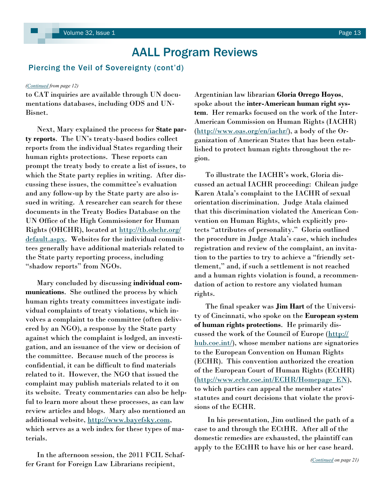### <span id="page-12-0"></span>Piercing the Veil of Sovereignty (cont'd)

### *([Continued](#page-11-0) from page 12)*

to CAT inquiries are available through UN documentations databases, including ODS and UN-Bisnet.

 Next, Mary explained the process for **State party reports**. The UN's treaty-based bodies collect reports from the individual States regarding their human rights protections. These reports can prompt the treaty body to create a list of issues, to which the State party replies in writing. After discussing these issues, the committee's evaluation and any follow-up by the State party are also issued in writing. A researcher can search for these documents in the Treaty Bodies Database on the UN Office of the High Commissioner for Human Rights (OHCHR), located at [http://tb.ohchr.org/](http://tb.ohchr.org/default.aspx) [default.aspx.](http://tb.ohchr.org/default.aspx) Websites for the individual committees generally have additional materials related to the State party reporting process, including "shadow reports" from NGOs.

 Mary concluded by discussing **individual communications**. She outlined the process by which human rights treaty committees investigate individual complaints of treaty violations, which involves a complaint to the committee (often delivered by an NGO), a response by the State party against which the complaint is lodged, an investigation, and an issuance of the view or decision of the committee. Because much of the process is confidential, it can be difficult to find materials related to it. However, the NGO that issued the complaint may publish materials related to it on its website. Treaty commentaries can also be helpful to learn more about these processes, as can law review articles and blogs. Mary also mentioned an additional website, [http://www.bayefsky.com,](http://www.bayefsky.com) which serves as a web index for these types of materials.

 In the afternoon session, the 2011 FCIL Schaffer Grant for Foreign Law Librarians recipient,

Argentinian law librarian **Gloria Orrego Hoyos**, spoke about the **inter-American human right system**. Her remarks focused on the work of the Inter-American Commission on Human Rights (IACHR) ([http://www.oas.org/en/iachr/\)](http://www.oas.org/en/iachr/), a body of the Organization of American States that has been established to protect human rights throughout the region.

 To illustrate the IACHR's work, Gloria discussed an actual IACHR proceeding: Chilean judge Karen Atala's complaint to the IACHR of sexual orientation discrimination. Judge Atala claimed that this discrimination violated the American Convention on Human Rights, which explicitly protects "attributes of personality." Gloria outlined the procedure in Judge Atala's case, which includes registration and review of the complaint, an invitation to the parties to try to achieve a "friendly settlement," and, if such a settlement is not reached and a human rights violation is found, a recommendation of action to restore any violated human rights.

 The final speaker was **Jim Hart** of the University of Cincinnati, who spoke on the **European system of human rights protections**. He primarily discussed the work of the Council of Europe ([http://](http://hub.coe.int/) [hub.coe.int/\)](http://hub.coe.int/), whose member nations are signatories to the European Convention on Human Rights (ECHR). This convention authorized the creation of the European Court of Human Rights (ECtHR) ([http://www.echr.coe.int/ECHR/Homepage\\_EN\)](http://www.echr.coe.int/ECHR/Homepage_EN), to which parties can appeal the member states' statutes and court decisions that violate the provisions of the ECHR.

 In his presentation, Jim outlined the path of a case to and through the ECtHR. After all of the domestic remedies are exhausted, the plaintiff can apply to the ECtHR to have his or her case heard.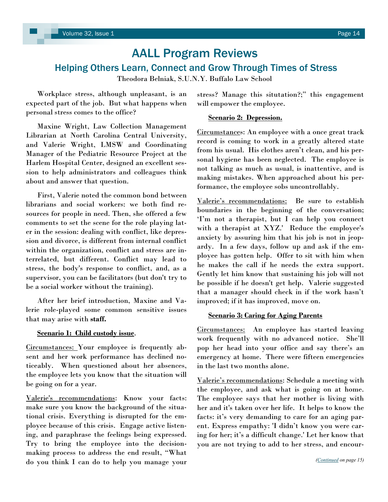## <span id="page-13-0"></span>Helping Others Learn, Connect and Grow Through Times of Stress

Theodora Belniak, S.U.N.Y. Buffalo Law School

 Workplace stress, although unpleasant, is an expected part of the job. But what happens when personal stress comes to the office?

 Maxine Wright, Law Collection Management Librarian at North Carolina Central University, and Valerie Wright, LMSW and Coordinating Manager of the Pediatric Resource Project at the Harlem Hospital Center, designed an excellent session to help administrators and colleagues think about and answer that question.

 First, Valerie noted the common bond between librarians and social workers: we both find resources for people in need. Then, she offered a few comments to set the scene for the role playing later in the session: dealing with conflict, like depression and divorce, is different from internal conflict within the organization, conflict and stress are interrelated, but different. Conflict may lead to stress, the body's response to conflict, and, as a supervisor, you can be facilitators (but don't try to be a social worker without the training).

 After her brief introduction, Maxine and Valerie role-played some common sensitive issues that may arise with **staff.** 

### **Scenario 1: Child custody issue**.

Circumstances: Your employee is frequently absent and her work performance has declined noticeably. When questioned about her absences, the employee lets you know that the situation will be going on for a year.

Valerie's recommendations: Know your facts: make sure you know the background of the situational crisis. Everything is disrupted for the employee because of this crisis. Engage active listening, and paraphrase the feelings being expressed. Try to bring the employee into the decisionmaking process to address the end result, "What do you think I can do to help you manage your

stress? Manage this situtation?;" this engagement will empower the employee.

### **Scenario 2: Depression.**

Circumstances: An employee with a once great track record is coming to work in a greatly altered state from his usual. His clothes aren't clean, and his personal hygiene has been neglected. The employee is not talking as much as usual, is inattentive, and is making mistakes. When approached about his performance, the employee sobs uncontrollably.

Valerie's recommendations: Be sure to establish boundaries in the beginning of the conversation; ‗I'm not a therapist, but I can help you connect with a therapist at XYZ.' Reduce the employee's anxiety by assuring him that his job is not in jeopardy. In a few days, follow up and ask if the employee has gotten help. Offer to sit with him when he makes the call if he needs the extra support. Gently let him know that sustaining his job will not be possible if he doesn't get help. Valerie suggested that a manager should check in if the work hasn't improved; if it has improved, move on.

### **Scenario 3: Caring for Aging Parents**

Circumstances: An employee has started leaving work frequently with no advanced notice. She'll pop her head into your office and say there's an emergency at home. There were fifteen emergencies in the last two months alone.

Valerie's recommendations: Schedule a meeting with the employee, and ask what is going on at home. The employee says that her mother is living with her and it's taken over her life. It helps to know the facts: it's very demanding to care for an aging parent. Express empathy: 'I didn't know you were caring for her; it's a difficult change.' Let her know that you are not trying to add to her stress, and encour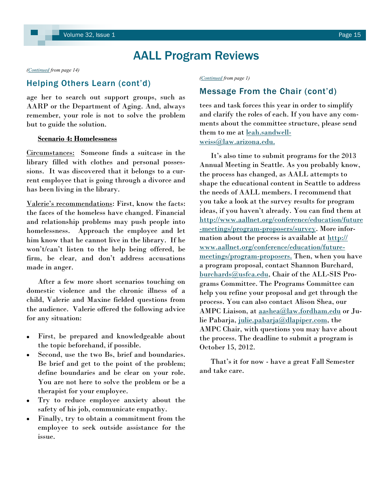<span id="page-14-0"></span>*([Continued](#page-13-0) from page 14)*

### Helping Others Learn (cont'd)

age her to search out support groups, such as AARP or the Department of Aging. And, always remember, your role is not to solve the problem but to guide the solution.

### **Scenario 4: Homelessness**

Circumstances: Someone finds a suitcase in the library filled with clothes and personal possessions. It was discovered that it belongs to a current employee that is going through a divorce and has been living in the library.

Valerie's recommendations: First, know the facts: the faces of the homeless have changed. Financial and relationship problems may push people into homelessness. Approach the employee and let him know that he cannot live in the library. If he won't/can't listen to the help being offered, be firm, be clear, and don't address accusations made in anger.

 After a few more short scenarios touching on domestic violence and the chronic illness of a child, Valerie and Maxine fielded questions from the audience. Valerie offered the following advice for any situation:

- First, be prepared and knowledgeable about the topic beforehand, if possible.
- Second, use the two Bs, brief and boundaries. Be brief and get to the point of the problem; define boundaries and be clear on your role. You are not here to solve the problem or be a therapist for your employee.
- Try to reduce employee anxiety about the safety of his job, communicate empathy.
- Finally, try to obtain a commitment from the employee to seek outside assistance for the issue.

*([Continued](#page-0-0) from page 1)*

### Message From the Chair (cont'd)

tees and task forces this year in order to simplify and clarify the roles of each. If you have any comments about the committee structure, please send them to me at [leah.sandwell](mailto:leah.sandwell-weiss@law.arizona.edu.)[weiss@law.arizona.edu.](mailto:leah.sandwell-weiss@law.arizona.edu.)

 It's also time to submit programs for the 2013 Annual Meeting in Seattle. As you probably know, the process has changed, as AALL attempts to shape the educational content in Seattle to address the needs of AALL members. I recommend that you take a look at the survey results for program ideas, if you haven't already. You can find them at [http://www.aallnet.org/conference/education/future](http://www.aallnet.org/conference/education/future-meetings/program-proposers/survey) [-meetings/program-proposers/survey.](http://www.aallnet.org/conference/education/future-meetings/program-proposers/survey) More information about the process is available at [http://](http://www.aallnet.org/conference/education/future-meetings/program-proposers) [www.aallnet.org/conference/education/future](http://www.aallnet.org/conference/education/future-meetings/program-proposers)[meetings/program-proposers.](http://www.aallnet.org/conference/education/future-meetings/program-proposers) Then, when you have a program proposal, contact Shannon Burchard, [burchards@usfca.edu,](mailto:burchards@usfca.edu) Chair of the ALL-SIS Programs Committee. The Programs Committee can help you refine your proposal and get through the process. You can also contact Alison Shea, our AMPC Liaison, at [aashea@law.fordham.edu](mailto:aashea@law.fordham.edu) or Julie Pabarja, [julie.pabarja@dlapiper.com,](mailto:julie.pabarja@dlapiper.com) the AMPC Chair, with questions you may have about the process. The deadline to submit a program is October 15, 2012.

 That's it for now - have a great Fall Semester and take care.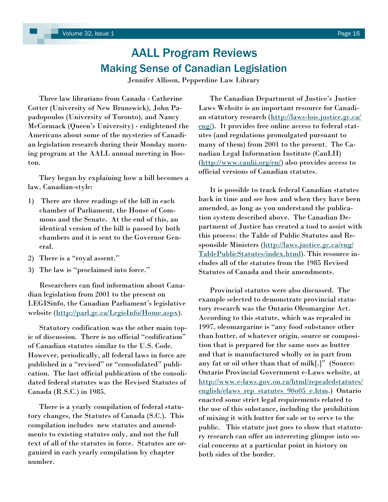## AALL Program Reviews Making Sense of Canadian Legislation

Jennifer Allison, Pepperdine Law Library

 Three law librarians from Canada - Catherine Cotter (University of New Brunswick), John Papadopoulos (University of Toronto), and Nancy McCormack (Queen's University) - enlightened the Americans about some of the mysteries of Canadian legislation research during their Monday morning program at the AALL annual meeting in Boston.

 They began by explaining how a bill becomes a law, Canadian-style:

- 1) There are three readings of the bill in each chamber of Parliament, the House of Commons and the Senate. At the end of this, an identical version of the bill is passed by both chambers and it is sent to the Governor General.
- 2) There is a "royal assent."
- 3) The law is "proclaimed into force."

 Researchers can find information about Canadian legislation from 2001 to the present on LEGISinfo, the Canadian Parliament's legislative website [\(http://parl.gc.ca/LegisInfo/Home.aspx\).](http://parl.gc.ca/LegisInfo/Home.aspx)

 Statutory codification was the other main topic of discussion. There is no official "codification" of Canadian statutes similar to the U.S. Code. However, periodically, all federal laws in force are published in a "revised" or "consolidated" publication. The last official publication of the consolidated federal statutes was the Revised Statutes of Canada (R.S.C.) in 1985.

 There is a yearly compilation of federal statutory changes, the Statutes of Canada (S.C.). This compilation includes new statutes and amendments to existing statutes only, and not the full text of all of the statutes in force. Statutes are organized in each yearly compilation by chapter number.

 The Canadian Department of Justice's Justice Laws Website is an important resource for Canadian statutory research [\(http://laws-lois.justice.gc.ca/](http://laws-lois.justice.gc.ca/eng/) [eng/\)](http://laws-lois.justice.gc.ca/eng/). It provides free online access to federal statutes (and regulations promulgated pursuant to many of them) from 2001 to the present. The Canadian Legal Information Institute (CanLII) [\(http://www.canlii.org/en/\)](http://www.canlii.org/en/) also provides access to official versions of Canadian statutes.

 It is possible to track federal Canadian statutes back in time and see how and when they have been amended, as long as you understand the publication system described above. The Canadian Department of Justice has created a tool to assist with this process: the Table of Public Statutes and Responsible Ministers ([http://laws.justice.gc.ca/eng/](http://laws.justice.gc.ca/eng/TablePublicStatutes/index.html) [TablePublicStatutes/index.html\).](http://laws.justice.gc.ca/eng/TablePublicStatutes/index.html) This resource includes all of the statutes from the 1985 Revised Statutes of Canada and their amendments.

 Provincial statutes were also discussed. The example selected to demonstrate provincial statutory research was the Ontario Oleomargine Act. According to this statute, which was repealed in 1997, oleomargarine is "any food substance other than butter, of whatever origin, source or composition that is prepared for the same uses as butter and that is manufactured wholly or in part from any fat or oil other than that of milk[.]" (Source: Ontario Provincial Government e-Laws website, at [http://www.e-laws.gov.on.ca/html/repealedstatutes/](http://www.e-laws.gov.on.ca/html/repealedstatutes/english/elaws_rep_statutes_90o05_e.htm) [english/elaws\\_rep\\_statutes\\_90o05\\_e.htm.](http://www.e-laws.gov.on.ca/html/repealedstatutes/english/elaws_rep_statutes_90o05_e.htm)) Ontario enacted some strict legal requirements related to the use of this substance, including the prohibition of mixing it with butter for sale or to serve to the public. This statute just goes to show that statutory research can offer an interesting glimpse into social concerns at a particular point in history on both sides of the border.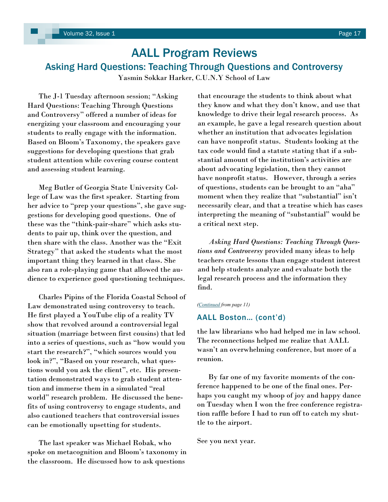## <span id="page-16-0"></span>AALL Program Reviews Asking Hard Questions: Teaching Through Questions and Controversy

Yasmin Sokkar Harker, C.U.N.Y School of Law

The J-1 Tuesday afternoon session; "Asking" Hard Questions: Teaching Through Questions and Controversy" offered a number of ideas for energizing your classroom and encouraging your students to really engage with the information. Based on Bloom's Taxonomy, the speakers gave suggestions for developing questions that grab student attention while covering course content and assessing student learning.

 Meg Butler of Georgia State University College of Law was the first speaker. Starting from her advice to "prep your questions", she gave suggestions for developing good questions. One of these was the "think-pair-share" which asks students to pair up, think over the question, and then share with the class. Another was the "Exit" Strategy" that asked the students what the most important thing they learned in that class. She also ran a role-playing game that allowed the audience to experience good questioning techniques.

 Charles Pipins of the Florida Coastal School of Law demonstrated using controversy to teach. He first played a YouTube clip of a reality TV show that revolved around a controversial legal situation (marriage between first cousins) that led into a series of questions, such as "how would you start the research?", "which sources would you look in?", "Based on your research, what questions would you ask the client", etc. His presentation demonstrated ways to grab student attention and immerse them in a simulated "real world" research problem. He discussed the benefits of using controversy to engage students, and also cautioned teachers that controversial issues can be emotionally upsetting for students.

 The last speaker was Michael Robak, who spoke on metacognition and Bloom's taxonomy in the classroom. He discussed how to ask questions

that encourage the students to think about what they know and what they don't know, and use that knowledge to drive their legal research process. As an example, he gave a legal research question about whether an institution that advocates legislation can have nonprofit status. Students looking at the tax code would find a statute stating that if a substantial amount of the institution's activities are about advocating legislation, then they cannot have nonprofit status. However, through a series of questions, students can be brought to an "aha" moment when they realize that "substantial" isn't necessarily clear, and that a treatise which has cases interpreting the meaning of "substantial" would be a critical next step.

 *Asking Hard Questions: Teaching Through Questions and Controversy* provided many ideas to help teachers create lessons than engage student interest and help students analyze and evaluate both the legal research process and the information they find.

### *([Continued](#page-10-0) from page 11)*

### AALL Boston… (cont'd)

the law librarians who had helped me in law school. The reconnections helped me realize that AALL wasn't an overwhelming conference, but more of a reunion.

 By far one of my favorite moments of the conference happened to be one of the final ones. Perhaps you caught my whoop of joy and happy dance on Tuesday when I won the free conference registration raffle before I had to run off to catch my shuttle to the airport.

See you next year.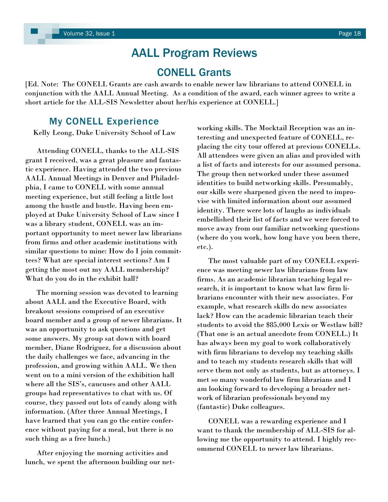## CONELL Grants

[Ed. Note: The CONELL Grants are cash awards to enable newer law librarians to attend CONELL in conjunction with the AALL Annual Meeting. As a condition of the award, each winner agrees to write a short article for the ALL-SIS Newsletter about her/his experience at CONELL.]

### My CONELL Experience

Kelly Leong, Duke University School of Law

 Attending CONELL, thanks to the ALL-SIS grant I received, was a great pleasure and fantastic experience. Having attended the two previous AALL Annual Meetings in Denver and Philadelphia, I came to CONELL with some annual meeting experience, but still feeling a little lost among the hustle and bustle. Having been employed at Duke University School of Law since I was a library student, CONELL was an important opportunity to meet newer law librarians from firms and other academic institutions with similar questions to mine: How do I join committees? What are special interest sections? Am I getting the most out my AALL membership? What do you do in the exhibit hall?

 The morning session was devoted to learning about AALL and the Executive Board, with breakout sessions comprised of an executive board member and a group of newer librarians. It was an opportunity to ask questions and get some answers. My group sat down with board member, Diane Rodriguez, for a discussion about the daily challenges we face, advancing in the profession, and growing within AALL. We then went on to a mini version of the exhibition hall where all the SIS's, caucuses and other AALL groups had representatives to chat with us. Of course, they passed out lots of candy along with information. (After three Annual Meetings, I have learned that you can go the entire conference without paying for a meal, but there is no such thing as a free lunch.)

 After enjoying the morning activities and lunch, we spent the afternoon building our networking skills. The Mocktail Reception was an interesting and unexpected feature of CONELL, replacing the city tour offered at previous CONELLs. All attendees were given an alias and provided with a list of facts and interests for our assumed persona. The group then networked under these assumed identities to build networking skills. Presumably, our skills were sharpened given the need to improvise with limited information about our assumed identity. There were lots of laughs as individuals embellished their list of facts and we were forced to move away from our familiar networking questions (where do you work, how long have you been there, etc.).

 The most valuable part of my CONELL experience was meeting newer law librarians from law firms. As an academic librarian teaching legal research, it is important to know what law firm librarians encounter with their new associates. For example, what research skills do new associates lack? How can the academic librarian teach their students to avoid the \$85,000 Lexis or Westlaw bill? (That one is an actual anecdote from CONELL.) It has always been my goal to work collaboratively with firm librarians to develop my teaching skills and to teach my students research skills that will serve them not only as students, but as attorneys. I met so many wonderful law firm librarians and I am looking forward to developing a broader network of librarian professionals beyond my (fantastic) Duke colleagues.

 CONELL was a rewarding experience and I want to thank the membership of ALL-SIS for allowing me the opportunity to attend. I highly recommend CONELL to newer law librarians.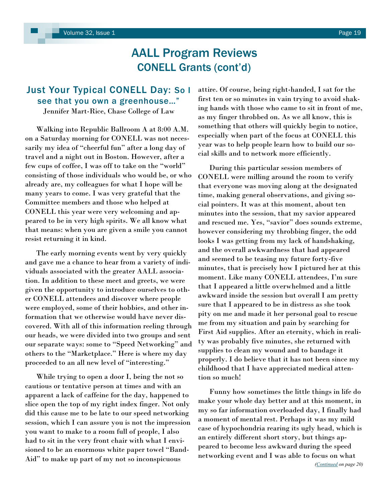## AALL Program Reviews CONELL Grants (cont'd)

## <span id="page-18-0"></span>Just Your Typical CONELL Day: So I see that you own a greenhouse…"

Jennifer Mart-Rice, Chase College of Law

 Walking into Republic Ballroom A at 8:00 A.M. on a Saturday morning for CONELL was not necessarily my idea of "cheerful fun" after a long day of travel and a night out in Boston. However, after a few cups of coffee, I was off to take on the "world" consisting of those individuals who would be, or who already are, my colleagues for what I hope will be many years to come. I was very grateful that the Committee members and those who helped at CONELL this year were very welcoming and appeared to be in very high spirits. We all know what that means: when you are given a smile you cannot resist returning it in kind.

 The early morning events went by very quickly and gave me a chance to hear from a variety of individuals associated with the greater AALL association. In addition to these meet and greets, we were given the opportunity to introduce ourselves to other CONELL attendees and discover where people were employed, some of their hobbies, and other information that we otherwise would have never discovered. With all of this information reeling through our heads, we were divided into two groups and sent our separate ways: some to "Speed Networking" and others to the "Marketplace." Here is where my day proceeded to an all new level of "interesting."

 While trying to open a door I, being the not so cautious or tentative person at times and with an apparent a lack of caffeine for the day, happened to slice open the top of my right index finger. Not only did this cause me to be late to our speed networking session, which I can assure you is not the impression you want to make to a room full of people, I also had to sit in the very front chair with what I envisioned to be an enormous white paper towel "Band-Aid" to make up part of my not so inconspicuous

attire. Of course, being right-handed, I sat for the first ten or so minutes in vain trying to avoid shaking hands with those who came to sit in front of me, as my finger throbbed on. As we all know, this is something that others will quickly begin to notice, especially when part of the focus at CONELL this year was to help people learn how to build our social skills and to network more efficiently.

 During this particular session members of CONELL were milling around the room to verify that everyone was moving along at the designated time, making general observations, and giving social pointers. It was at this moment, about ten minutes into the session, that my savior appeared and rescued me. Yes, "savior" does sounds extreme, however considering my throbbing finger, the odd looks I was getting from my lack of handshaking, and the overall awkwardness that had appeared and seemed to be teasing my future forty-five minutes, that is precisely how I pictured her at this moment. Like many CONELL attendees, I'm sure that I appeared a little overwhelmed and a little awkward inside the session but overall I am pretty sure that I appeared to be in distress as she took pity on me and made it her personal goal to rescue me from my situation and pain by searching for First Aid supplies. After an eternity, which in reality was probably five minutes, she returned with supplies to clean my wound and to bandage it properly. I do believe that it has not been since my childhood that I have appreciated medical attention so much!

 Funny how sometimes the little things in life do make your whole day better and at this moment, in my so far information overloaded day, I finally had a moment of mental rest. Perhaps it was my mild case of hypochondria rearing its ugly head, which is an entirely different short story, but things appeared to become less awkward during the speed networking event and I was able to focus on what *([Continued](#page-19-0) on page 20)*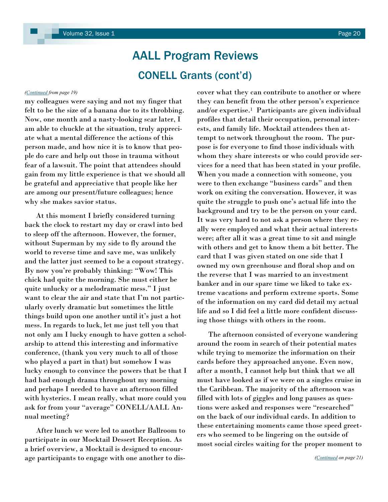## AALL Program Reviews CONELL Grants (cont'd)

my colleagues were saying and not my finger that felt to be the size of a banana due to its throbbing. Now, one month and a nasty-looking scar later, I am able to chuckle at the situation, truly appreciate what a mental difference the actions of this person made, and how nice it is to know that people do care and help out those in trauma without fear of a lawsuit. The point that attendees should gain from my little experience is that we should all be grateful and appreciative that people like her are among our present/future colleagues; hence why she makes savior status.

 At this moment I briefly considered turning back the clock to restart my day or crawl into bed to sleep off the afternoon. However, the former, without Superman by my side to fly around the world to reverse time and save me, was unlikely and the latter just seemed to be a copout strategy. By now you're probably thinking: "Wow! This chick had quite the morning. She must either be quite unlucky or a melodramatic mess." I just want to clear the air and state that I'm not particularly overly dramatic but sometimes the little things build upon one another until it's just a hot mess. In regards to luck, let me just tell you that not only am I lucky enough to have gotten a scholarship to attend this interesting and informative conference, (thank you very much to all of those who played a part in that) but somehow I was lucky enough to convince the powers that be that I had had enough drama throughout my morning and perhaps I needed to have an afternoon filled with hysterics. I mean really, what more could you ask for from your "average" CONELL/AALL Annual meeting?

 After lunch we were led to another Ballroom to participate in our Mocktail Dessert Reception. As a brief overview, a Mocktail is designed to encourage participants to engage with one another to dis-

<span id="page-19-0"></span>*([Continued](#page-18-0) from page 19)* cover what they can contribute to another or where they can benefit from the other person's experience and/or expertise.1 Participants are given individual profiles that detail their occupation, personal interests, and family life. Mocktail attendees then attempt to network throughout the room. The purpose is for everyone to find those individuals with whom they share interests or who could provide services for a need that has been stated in your profile. When you made a connection with someone, you were to then exchange "business cards" and then work on exiting the conversation. However, it was quite the struggle to push one's actual life into the background and try to be the person on your card. It was very hard to not ask a person where they really were employed and what their actual interests were; after all it was a great time to sit and mingle with others and get to know them a bit better. The card that I was given stated on one side that I owned my own greenhouse and floral shop and on the reverse that I was married to an investment banker and in our spare time we liked to take extreme vacations and perform extreme sports. Some of the information on my card did detail my actual life and so I did feel a little more confident discussing those things with others in the room.

> The afternoon consisted of everyone wandering around the room in search of their potential mates while trying to memorize the information on their cards before they approached anyone. Even now, after a month, I cannot help but think that we all must have looked as if we were on a singles cruise in the Caribbean. The majority of the afternoon was filled with lots of giggles and long pauses as questions were asked and responses were "researched" on the back of our individual cards. In addition to these entertaining moments came those speed greeters who seemed to be lingering on the outside of most social circles waiting for the proper moment to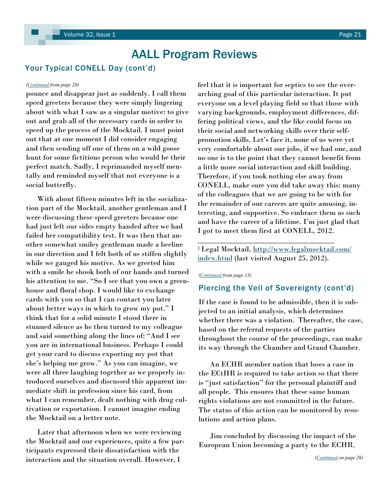### <span id="page-20-0"></span>Your Typical CONELL Day (cont'd)

pounce and disappear just as suddenly. I call them speed greeters because they were simply lingering about with what I saw as a singular motive: to give out and grab all of the necessary cards in order to speed up the process of the Mocktail. I must point out that at one moment I did consider engaging and then sending off one of them on a wild goose hunt for some fictitious person who would be their perfect match. Sadly, I reprimanded myself mentally and reminded myself that not everyone is a social butterfly.

 With about fifteen minutes left in the socialization part of the Mocktail, another gentleman and I were discussing these speed greeters because one had just left our sides empty handed after we had failed her compatibility test. It was then that another somewhat smiley gentleman made a beeline in our direction and I felt both of us stiffen slightly while we gauged his motive. As we greeted him with a smile he shook both of our hands and turned his attention to me. "So I see that you own a greenhouse and floral shop. I would like to exchange cards with you so that I can contact you later about better ways in which to grow my pot." I think that for a solid minute I stood there in stunned silence as he then turned to my colleague and said something along the lines of: "And I see you are in international business. Perhaps I could get your card to discuss exporting my pot that she's helping me grow." As you can imagine, we were all three laughing together as we properly introduced ourselves and discussed this apparent immediate shift in profession since his card, from what I can remember, dealt nothing with drug cultivation or exportation. I cannot imagine ending the Mocktail on a better note.

 Later that afternoon when we were reviewing the Mocktail and our experiences, quite a few participants expressed their dissatisfaction with the interaction and the situation overall. However, I

*([Continued](#page-19-0) from page 20)* feel that it is important for septics to see the overarching goal of this particular interaction. It put everyone on a level playing field so that those with varying backgrounds, employment differences, differing political views, and the like could focus on their social and networking skills over their selfpromotion skills. Let's face it, none of us were yet very comfortable about our jobs, if we had one, and no one is to the point that they cannot benefit from a little more social interaction and skill building. Therefore, if you took nothing else away from CONELL, make sure you did take away this: many of the colleagues that we are going to be with for the remainder of our careers are quite amusing, interesting, and supportive. So embrace them as such and have the career of a lifetime. I'm just glad that I got to meet them first at CONELL, 2012.

> <sup>1</sup>Legal Mocktail, [http://www.legalmocktail.com/](http://www.legalmocktail.com/index.html) [index.html](http://www.legalmocktail.com/index.html) (last visited August 25, 2012).

\_\_\_\_\_\_\_\_\_\_\_\_\_\_\_\_\_\_\_\_\_\_\_\_\_\_\_\_\_\_\_\_\_\_\_\_

### *[\(Continued](#page-12-0) from page 13)*

### Piercing the Veil of Sovereignty (cont'd)

If the case is found to be admissible, then it is subjected to an initial analysis, which determines whether there was a violation. Thereafter, the case, based on the referral requests of the parties throughout the course of the proceedings, can make its way through the Chamber and Grand Chamber.

 An ECHR member nation that loses a case in the ECtHR is required to take action so that there is "just satisfaction" for the personal plaintiff and all people. This ensures that these same human rights violations are not committed in the future. The status of this action can be monitored by resolutions and action plans.

 Jim concluded by discussing the impact of the European Union becoming a party to the ECHR.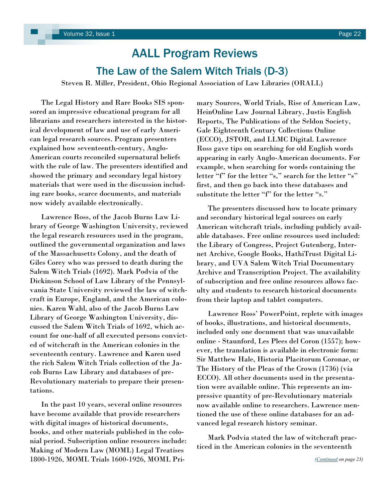## The Law of the Salem Witch Trials (D-3)

<span id="page-21-0"></span>Steven R. Miller, President, Ohio Regional Association of Law Libraries (ORALL)

 The Legal History and Rare Books SIS sponsored an impressive educational program for all librarians and researchers interested in the historical development of law and use of early American legal research sources. Program presenters explained how seventeenth-century, Anglo-American courts reconciled supernatural beliefs with the rule of law. The presenters identified and showed the primary and secondary legal history materials that were used in the discussion including rare books, scarce documents, and materials now widely available electronically.

 Lawrence Ross, of the Jacob Burns Law Library of George Washington University, reviewed the legal research resources used in the program, outlined the governmental organization and laws of the Massachusetts Colony, and the death of Giles Corey who was pressed to death during the Salem Witch Trials (1692). Mark Podvia of the Dickinson School of Law Library of the Pennsylvania State University reviewed the law of witchcraft in Europe, England, and the American colonies. Karen Wahl, also of the Jacob Burns Law Library of George Washington University, discussed the Salem Witch Trials of 1692, which account for one-half of all executed persons convicted of witchcraft in the American colonies in the seventeenth century. Lawrence and Karen used the rich Salem Witch Trials collection of the Jacob Burns Law Library and databases of pre-Revolutionary materials to prepare their presentations.

 In the past 10 years, several online resources have become available that provide researchers with digital images of historical documents, books, and other materials published in the colonial period. Subscription online resources include: Making of Modern Law (MOML) Legal Treatises 1800-1926, MOML Trials 1600-1926, MOML Primary Sources, World Trials, Rise of American Law, HeinOnline Law Journal Library, Justis English Reports, The Publications of the Seldon Society, Gale Eighteenth Century Collections Online (ECCO), JSTOR, and LLMC Digital. Lawrence Ross gave tips on searching for old English words appearing in early Anglo-American documents. For example, when searching for words containing the letter "f" for the letter "s," search for the letter "s" first, and then go back into these databases and substitute the letter "f" for the letter "s."

 The presenters discussed how to locate primary and secondary historical legal sources on early American witchcraft trials, including publicly available databases. Free online resources used included: the Library of Congress, Project Gutenberg, Internet Archive, Google Books, HathiTrust Digital Library, and UVA Salem Witch Trial Documentary Archive and Transcription Project. The availability of subscription and free online resources allows faculty and students to research historical documents from their laptop and tablet computers.

 Lawrence Ross' PowerPoint, replete with images of books, illustrations, and historical documents, included only one document that was unavailable online - Staunford, Les Plees del Coron (1557); however, the translation is available in electronic form: Sir Matthew Hale, Historia Placitorum Coronae, or The History of the Pleas of the Crown (1736) (via ECCO). All other documents used in the presentation were available online. This represents an impressive quantity of pre-Revolutionary materials now available online to researchers. Lawrence mentioned the use of these online databases for an advanced legal research history seminar.

 Mark Podvia stated the law of witchcraft practiced in the American colonies in the seventeenth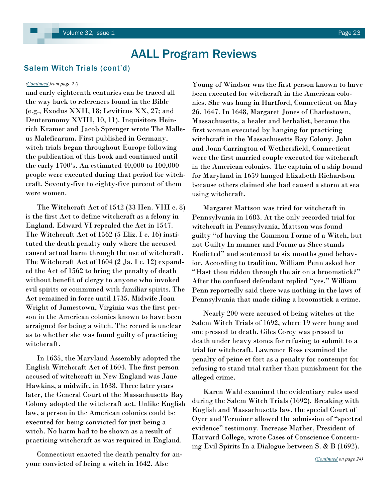### <span id="page-22-0"></span>Salem Witch Trials (cont'd)

and early eighteenth centuries can be traced all the way back to references found in the Bible (e.g., Exodus XXII, 18; Leviticus XX, 27; and Deuteronomy XVIII, 10, 11). Inquisitors Heinrich Kramer and Jacob Sprenger wrote The Malleus Maleficarum. First published in Germany, witch trials began throughout Europe following the publication of this book and continued until the early 1700's. An estimated 40,000 to 100,000 people were executed during that period for witchcraft. Seventy-five to eighty-five percent of them were women.

 The Witchcraft Act of 1542 (33 Hen. VIII c. 8) is the first Act to define witchcraft as a felony in England. Edward VI repealed the Act in 1547. The Witchcraft Act of 1562 (5 Eliz. I c. 16) instituted the death penalty only where the accused caused actual harm through the use of witchcraft. The Witchcraft Act of 1604 (2 Ja. I c. 12) expanded the Act of 1562 to bring the penalty of death without benefit of clergy to anyone who invoked evil spirits or communed with familiar spirits. The Act remained in force until 1735. Midwife Joan Wright of Jamestown, Virginia was the first person in the American colonies known to have been arraigned for being a witch. The record is unclear as to whether she was found guilty of practicing witchcraft.

 In 1635, the Maryland Assembly adopted the English Witchcraft Act of 1604. The first person accused of witchcraft in New England was Jane Hawkins, a midwife, in 1638. Three later years later, the General Court of the Massachusetts Bay Colony adopted the witchcraft act. Unlike English law, a person in the American colonies could be executed for being convicted for just being a witch. No harm had to be shown as a result of practicing witchcraft as was required in England.

 Connecticut enacted the death penalty for anyone convicted of being a witch in 1642. Alse

*([Continued](#page-21-0) from page 22)* Young of Windsor was the first person known to have been executed for witchcraft in the American colonies. She was hung in Hartford, Connecticut on May 26, 1647. In 1648, Margaret Jones of Charlestown, Massachusetts, a healer and herbalist, became the first woman executed by hanging for practicing witchcraft in the Massachusetts Bay Colony. John and Joan Carrington of Wethersfield, Connecticut were the first married couple executed for witchcraft in the American colonies. The captain of a ship bound for Maryland in 1659 hanged Elizabeth Richardson because others claimed she had caused a storm at sea using witchcraft.

> Margaret Mattson was tried for witchcraft in Pennsylvania in 1683. At the only recorded trial for witchcraft in Pennsylvania, Mattson was found guilty "of having the Common Forme of a Witch, but not Guilty In manner and Forme as Shee stands Endicted" and sentenced to six months good behavior. According to tradition, William Penn asked her "Hast thou ridden through the air on a broomstick?" After the confused defendant replied "yes," William Penn reportedly said there was nothing in the laws of Pennsylvania that made riding a broomstick a crime.

> Nearly 200 were accused of being witches at the Salem Witch Trials of 1692, where 19 were hung and one pressed to death. Giles Corey was pressed to death under heavy stones for refusing to submit to a trial for witchcraft. Lawrence Ross examined the penalty of peine et fort as a penalty for contempt for refusing to stand trial rather than punishment for the alleged crime.

> Karen Wahl examined the evidentiary rules used during the Salem Witch Trials (1692). Breaking with English and Massachusetts law, the special Court of Oyer and Terminer allowed the admission of "spectral evidence" testimony. Increase Mather, President of Harvard College, wrote Cases of Conscience Concerning Evil Spirits In a Dialogue between S. & B (1692).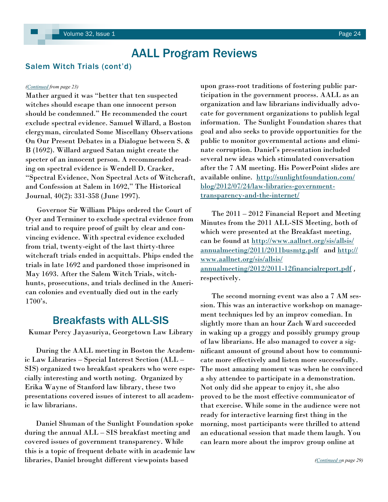### <span id="page-23-0"></span>Salem Witch Trials (cont'd)

Mather argued it was "better that ten suspected witches should escape than one innocent person should be condemned.‖ He recommended the court exclude spectral evidence. Samuel Willard, a Boston clergyman, circulated Some Miscellany Observations On Our Present Debates in a Dialogue between S. & B (1692). Willard argued Satan might create the specter of an innocent person. A recommended reading on spectral evidence is Wendell D. Cracker, ―Spectral Evidence, Non Spectral Acts of Witchcraft, and Confession at Salem in 1692," The Historical Journal, 40(2): 331-358 (June 1997).

 Governor Sir William Phips ordered the Court of Oyer and Terminer to exclude spectral evidence from trial and to require proof of guilt by clear and convincing evidence. With spectral evidence excluded from trial, twenty-eight of the last thirty-three witchcraft trials ended in acquittals. Phips ended the trials in late 1692 and pardoned those imprisoned in May 1693. After the Salem Witch Trials, witchhunts, prosecutions, and trials declined in the American colonies and eventually died out in the early 1700's.

### Breakfasts with ALL-SIS

Kumar Percy Jayasuriya, Georgetown Law Library

 During the AALL meeting in Boston the Academic Law Libraries – Special Interest Section (ALL – SIS) organized two breakfast speakers who were especially interesting and worth noting. Organized by Erika Wayne of Stanford law library, these two presentations covered issues of interest to all academic law librarians.

 Daniel Shuman of the Sunlight Foundation spoke during the annual ALL – SIS breakfast meeting and covered issues of government transparency. While this is a topic of frequent debate with in academic law libraries, Daniel brought different viewpoints based

*([Continued](#page-22-0) from page 23)* upon grass-root traditions of fostering public participation in the government process. AALL as an organization and law librarians individually advocate for government organizations to publish legal information. The Sunlight Foundation shares that goal and also seeks to provide opportunities for the public to monitor governmental actions and eliminate corruption. Daniel's presentation included several new ideas which stimulated conversation after the 7 AM meeting. His PowerPoint slides are available online. [http://sunlightfoundation.com/](http://sunlightfoundation.com/blog/2012/07/24/law-libraries-government-transparency-and-the-internet/) [blog/2012/07/24/law-libraries-government](http://sunlightfoundation.com/blog/2012/07/24/law-libraries-government-transparency-and-the-internet/)[transparency-and-the-internet/](http://sunlightfoundation.com/blog/2012/07/24/law-libraries-government-transparency-and-the-internet/)

> The 2011 – 2012 Financial Report and Meeting Minutes from the 2011 ALL-SIS Meeting, both of which were presented at the Breakfast meeting, can be found at [http://www.aallnet.org/sis/allsis/](http://www.aallnet.org/sis/allsis/annualmeeting/2011/2011busmtg.pdf) [annualmeeting/2011/2011busmtg.pdf](http://www.aallnet.org/sis/allsis/annualmeeting/2011/2011busmtg.pdf) and [http://](http://www.aallnet.org/sis/allsis/annualmeeting/2012/2011-12financialreport.pdf) [www.aallnet.org/sis/allsis/](http://www.aallnet.org/sis/allsis/annualmeeting/2012/2011-12financialreport.pdf) [annualmeeting/2012/2011-12financialreport.pdf](http://www.aallnet.org/sis/allsis/annualmeeting/2012/2011-12financialreport.pdf) , respectively.

> The second morning event was also a 7 AM session. This was an interactive workshop on management techniques led by an improv comedian. In slightly more than an hour Zach Ward succeeded in waking up a groggy and possibly grumpy group of law librarians. He also managed to cover a significant amount of ground about how to communicate more effectively and listen more successfully. The most amazing moment was when he convinced a shy attendee to participate in a demonstration. Not only did she appear to enjoy it, she also proved to be the most effective communicator of that exercise. While some in the audience were not ready for interactive learning first thing in the morning, most participants were thrilled to attend an educational session that made them laugh. You can learn more about the improv group online at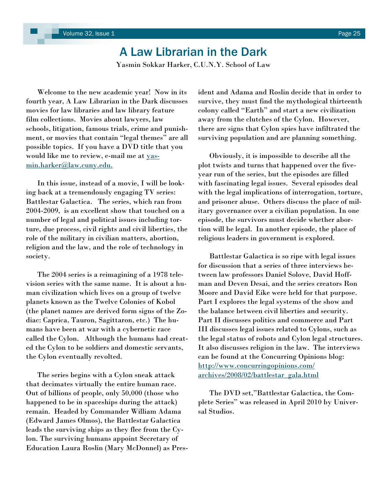## A Law Librarian in the Dark

Yasmin Sokkar Harker, C.U.N.Y. School of Law

<span id="page-24-0"></span> Welcome to the new academic year! Now in its fourth year, A Law Librarian in the Dark discusses movies for law libraries and law library feature film collections. Movies about lawyers, law schools, litigation, famous trials, crime and punishment, or movies that contain "legal themes" are all possible topics. If you have a DVD title that you would like me to review, e-mail me at [yas](mailto:yasmin.harker@law.cuny.edu.)[min.harker@law.cuny.edu.](mailto:yasmin.harker@law.cuny.edu.)

 In this issue, instead of a movie, I will be looking back at a tremendously engaging TV series: Battlestar Galactica. The series, which ran from 2004-2009, is an excellent show that touched on a number of legal and political issues including torture, due process, civil rights and civil liberties, the role of the military in civilian matters, abortion, religion and the law, and the role of technology in society.

 The 2004 series is a reimagining of a 1978 television series with the same name. It is about a human civilization which lives on a group of twelve planets known as the Twelve Colonies of Kobol (the planet names are derived form signs of the Zodiac: Caprica, Tauron, Sagittaron, etc.) The humans have been at war with a cybernetic race called the Cylon. Although the humans had created the Cylon to be soldiers and domestic servants, the Cylon eventually revolted.

 The series begins with a Cylon sneak attack that decimates virtually the entire human race. Out of billions of people, only 50,000 (those who happened to be in spaceships during the attack) remain. Headed by Commander William Adama (Edward James Olmos), the Battlestar Galactica leads the surviving ships as they flee from the Cylon. The surviving humans appoint Secretary of Education Laura Roslin (Mary McDonnel) as President and Adama and Roslin decide that in order to survive, they must find the mythological thirteenth colony called "Earth" and start a new civilization away from the clutches of the Cylon. However, there are signs that Cylon spies have infiltrated the surviving population and are planning something.

 Obviously, it is impossible to describe all the plot twists and turns that happened over the fiveyear run of the series, but the episodes are filled with fascinating legal issues. Several episodes deal with the legal implications of interrogation, torture, and prisoner abuse. Others discuss the place of military governance over a civilian population. In one episode, the survivors must decide whether abortion will be legal. In another episode, the place of religious leaders in government is explored.

 Battlestar Galactica is so ripe with legal issues for discussion that a series of three interviews between law professors Daniel Solove, David Hoffman and Deven Desai, and the series creators Ron Moore and David Eike were held for that purpose. Part I explores the legal systems of the show and the balance between civil liberties and security. Part II discusses politics and commerce and Part III discusses legal issues related to Cylons, such as the legal status of robots and Cylon legal structures. It also discusses religion in the law. The interviews can be found at the Concurring Opinions blog: [http://www.concurringopinions.com/](http://www.concurringopinions.com/archives/2008/02/battlestar_gala.html) [archives/2008/02/battlestar\\_gala.html](http://www.concurringopinions.com/archives/2008/02/battlestar_gala.html)

The DVD set,"Battlestar Galactica, the Complete Series" was released in April 2010 by Universal Studios.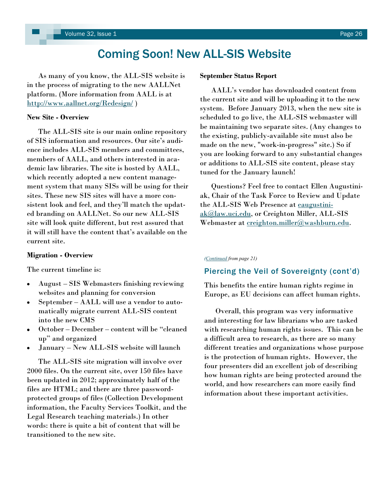<span id="page-25-0"></span> As many of you know, the ALL-SIS website is in the process of migrating to the new AALLNet platform. (More information from AALL is at <http://www.aallnet.org/Redesign/> )

### **New Site - Overview**

The ALL-SIS site is our main online repository of SIS information and resources. Our site's audience includes ALL-SIS members and committees, members of AALL, and others interested in academic law libraries. The site is hosted by AALL, which recently adopted a new content management system that many SISs will be using for their sites. These new SIS sites will have a more consistent look and feel, and they'll match the updated branding on AALLNet. So our new ALL-SIS site will look quite different, but rest assured that it will still have the content that's available on the current site.

### **Migration - Overview**

The current timeline is:

- August SIS Webmasters finishing reviewing websites and planning for conversion
- September AALL will use a vendor to automatically migrate current ALL-SIS content into the new CMS
- October December content will be "cleaned" up" and organized
- January New ALL-SIS website will launch

 The ALL-SIS site migration will involve over 2000 files. On the current site, over 150 files have been updated in 2012; approximately half of the files are HTML; and there are three passwordprotected groups of files (Collection Development information, the Faculty Services Toolkit, and the Legal Research teaching materials.) In other words: there is quite a bit of content that will be transitioned to the new site.

### **September Status Report**

AALL's vendor has downloaded content from the current site and will be uploading it to the new system. Before January 2013, when the new site is scheduled to go live, the ALL-SIS webmaster will be maintaining two separate sites. (Any changes to the existing, publicly-available site must also be made on the new, "work-in-progress" site.) So if you are looking forward to any substantial changes or additions to ALL-SIS site content, please stay tuned for the January launch!

 Questions? Feel free to contact Ellen Augustiniak, Chair of the Task Force to Review and Update the ALL-SIS Web Presence at [eaugustini](mailto:eaugustiniak@law.uci.edu)[ak@law.uci.edu,](mailto:eaugustiniak@law.uci.edu) or Creighton Miller, ALL-SIS Webmaster at [creighton.miller@washburn.edu.](mailto:creighton.miller@washburn.edu)

### *[\(Continued](#page-20-0) from page 21)*

### Piercing the Veil of Sovereignty (cont'd)

This benefits the entire human rights regime in Europe, as EU decisions can affect human rights.

 Overall, this program was very informative and interesting for law librarians who are tasked with researching human rights issues. This can be a difficult area to research, as there are so many different treaties and organizations whose purpose is the protection of human rights. However, the four presenters did an excellent job of describing how human rights are being protected around the world, and how researchers can more easily find information about these important activities.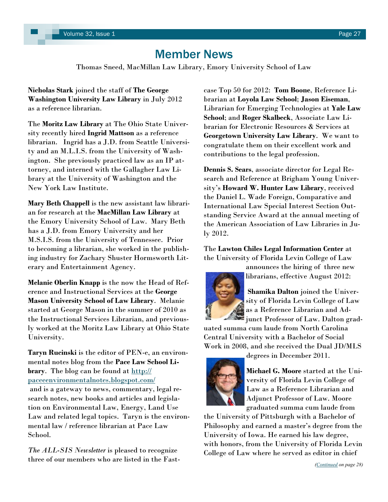## Member News

Thomas Sneed, MacMillan Law Library, Emory University School of Law

<span id="page-26-0"></span>**Nicholas Stark** joined the staff of **The George Washington University Law Library** in July 2012 as a reference librarian.

The **Moritz Law Library** at The Ohio State University recently hired **Ingrid Mattson** as a reference librarian. Ingrid has a J.D. from Seattle University and an M.L.I.S. from the University of Washington. She previously practiced law as an IP attorney, and interned with the Gallagher Law Library at the University of Washington and the New York Law Institute.

**Mary Beth Chappell** is the new assistant law librarian for research at the **MacMillan Law Library** at the Emory University School of Law. Mary Beth has a J.D. from Emory University and her M.S.I.S. from the University of Tennessee. Prior to becoming a librarian, she worked in the publishing industry for Zachary Shuster Hormsworth Literary and Entertainment Agency.

**Melanie Oberlin Knapp** is the now the Head of Reference and Instructional Services at the **George Mason University School of Law Library**. Melanie started at George Mason in the summer of 2010 as the Instructional Services Librarian, and previously worked at the Moritz Law Library at Ohio State University.

**Taryn Rucinski** is the editor of PEN-e, an environmental notes blog from the **Pace Law School Library**. The blog can be found at [http://](http://paceeenvironmentalnotes.blogspot.com/) [paceeenvironmentalnotes.blogspot.com/](http://paceeenvironmentalnotes.blogspot.com/) and is a gateway to news, commentary, legal research notes, new books and articles and legislation on Environmental Law, Energy, Land Use Law and related legal topics. Taryn is the environmental law / reference librarian at Pace Law School.

*The ALL-SIS Newsletter* is pleased to recognize three of our members who are listed in the Fastcase Top 50 for 2012: **Tom Boone**, Reference Librarian at **Loyola Law School**; **Jason Eiseman**, Librarian for Emerging Technologies at **Yale Law School**; and **Roger Skalbeck**, Associate Law Librarian for Electronic Resources & Services at **Georgetown University Law Library**. We want to congratulate them on their excellent work and contributions to the legal profession.

**Dennis S. Sears**, associate director for Legal Research and Reference at Brigham Young University's **Howard W. Hunter Law Library**, received the Daniel L. Wade Foreign, Comparative and International Law Special Interest Section Outstanding Service Award at the annual meeting of the American Association of Law Libraries in July 2012.

The **Lawton Chiles Legal Information Center** at the University of Florida Levin College of Law



announces the hiring of three new librarians, effective August 2012:

**Shamika Dalton** joined the University of Florida Levin College of Law as a Reference Librarian and Adjunct Professor of Law. Dalton grad-

uated summa cum laude from North Carolina Central University with a Bachelor of Social Work in 2008, and she received the Dual JD/MLS



degrees in December 2011.

**Michael G. Moore** started at the University of Florida Levin College of Law as a Reference Librarian and Adjunct Professor of Law. Moore graduated summa cum laude from

the University of Pittsburgh with a Bachelor of Philosophy and earned a master's degree from the University of Iowa. He earned his law degree, with honors, from the University of Florida Levin College of Law where he served as editor in chief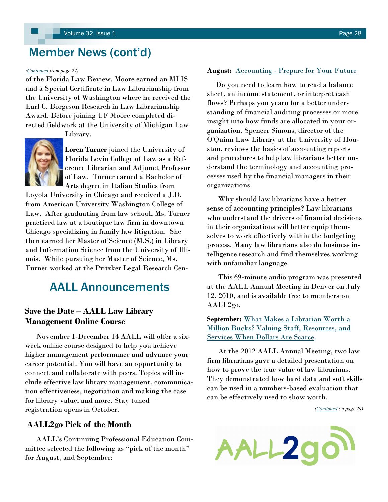## <span id="page-27-0"></span>Member News (cont'd)

### *([Continued](#page-26-0) from page 27)*

of the Florida Law Review. Moore earned an MLIS and a Special Certificate in Law Librarianship from the University of Washington where he received the Earl C. Borgeson Research in Law Librarianship Award. Before joining UF Moore completed directed fieldwork at the University of Michigan Law



Library.

**Loren Turner** joined the University of Florida Levin College of Law as a Reference Librarian and Adjunct Professor of Law. Turner earned a Bachelor of Arts degree in Italian Studies from

Loyola University in Chicago and received a J.D. from American University Washington College of Law. After graduating from law school, Ms. Turner practiced law at a boutique law firm in downtown Chicago specializing in family law litigation. She then earned her Master of Science (M.S.) in Library and Information Science from the University of Illinois. While pursuing her Master of Science, Ms. Turner worked at the Pritzker Legal Research Cen-

## AALL Announcements

### **Save the Date – AALL Law Library Management Online Course**

 November 1-December 14 AALL will offer a sixweek online course designed to help you achieve higher management performance and advance your career potential. You will have an opportunity to connect and collaborate with peers. Topics will include effective law library management, communication effectiveness, negotiation and making the case for library value, and more. Stay tuned registration opens in October.

### **AALL2go Pick of the Month**

 AALL's Continuing Professional Education Committee selected the following as "pick of the month" for August, and September:

### **August:** Accounting - [Prepare for Your Future](http://aall.sclivelearningcenter.com/index.aspx?PID=6278&SID=121439)

 Do you need to learn how to read a balance sheet, an income statement, or interpret cash flows? Perhaps you yearn for a better understanding of financial auditing processes or more insight into how funds are allocated in your organization. Spencer Simons, director of the O'Quinn Law Library at the University of Houston, reviews the basics of accounting reports and procedures to help law librarians better understand the terminology and accounting processes used by the financial managers in their organizations.

 Why should law librarians have a better sense of accounting principles? Law librarians who understand the drivers of financial decisions in their organizations will better equip themselves to work effectively within the budgeting process. Many law librarians also do business intelligence research and find themselves working with unfamiliar language.

 This 69-minute audio program was presented at the AALL Annual Meeting in Denver on July 12, 2010, and is available free to members on AALL2go.

**September:** [What Makes a Librarian Worth a](http://aall.sclivelearningcenter.com/index.aspx?PID=6278&SID=153751)  [Million Bucks? Valuing Staff, Resources, and](http://aall.sclivelearningcenter.com/index.aspx?PID=6278&SID=153751)  [Services When Dollars Are Scarce.](http://aall.sclivelearningcenter.com/index.aspx?PID=6278&SID=153751)

 At the 2012 AALL Annual Meeting, two law firm librarians gave a detailed presentation on how to prove the true value of law librarians. They demonstrated how hard data and soft skills can be used in a numbers-based evaluation that can be effectively used to show worth.

*([Continued](#page-28-0) on page 29)*

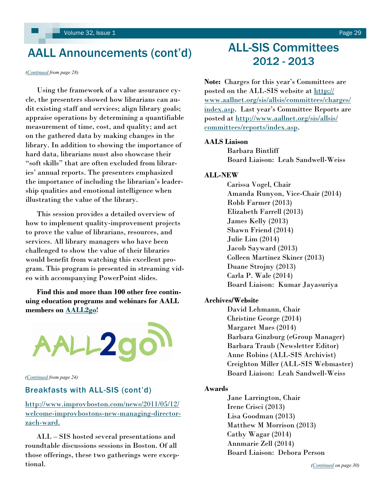## <span id="page-28-0"></span>AALL Announcements (cont'd)

*([Continued](#page-27-0) from page 28)*

 Using the framework of a value assurance cycle, the presenters showed how librarians can audit existing staff and services; align library goals; appraise operations by determining a quantifiable measurement of time, cost, and quality; and act on the gathered data by making changes in the library. In addition to showing the importance of hard data, librarians must also showcase their ―soft skills‖ that are often excluded from libraries' annual reports. The presenters emphasized the importance of including the librarian's leadership qualities and emotional intelligence when illustrating the value of the library.

 This session provides a detailed overview of how to implement quality-improvement projects to prove the value of librarians, resources, and services. All library managers who have been challenged to show the value of their libraries would benefit from watching this excellent program. This program is presented in streaming video with accompanying PowerPoint slides.

 **Find this and more than 100 other free continuing education programs and webinars for AALL members on [AALL2go!](http://aall.sclivelearningcenter.com/index.aspx)**



*[\(Continued](#page-23-0) from page 24)*

### Breakfasts with ALL-SIS (cont'd)

[http://www.improvboston.com/news/2011/05/12/](http://www.improvboston.com/news/2011/05/12/welcome-improvbostons-new-managing-director-zach-ward.) [welcome-improvbostons-new-managing-director](http://www.improvboston.com/news/2011/05/12/welcome-improvbostons-new-managing-director-zach-ward.)[zach-ward.](http://www.improvboston.com/news/2011/05/12/welcome-improvbostons-new-managing-director-zach-ward.) 

 ALL – SIS hosted several presentations and roundtable discussions sessions in Boston. Of all those offerings, these two gatherings were exceptional.

## ALL-SIS Committees 2012 - 2013

**Note:** Charges for this year's Committees are posted on the ALL-SIS website at [http://](http://www.aallnet.org/sis/allsis/committees/charges/index.asp) [www.aallnet.org/sis/allsis/committees/charges/](http://www.aallnet.org/sis/allsis/committees/charges/index.asp) [index.asp](http://www.aallnet.org/sis/allsis/committees/charges/index.asp). Last year's Committee Reports are posted at [http://www.aallnet.org/sis/allsis/](http://www.aallnet.org/sis/allsis/committees/reports/index.asp) [committees/reports/index.asp.](http://www.aallnet.org/sis/allsis/committees/reports/index.asp)

### **AALS Liaison**

Barbara Bintliff Board Liaison: Leah Sandwell-Weiss

### **ALL-NEW**

Carissa Vogel, Chair Amanda Runyon, Vice-Chair (2014) Robb Farmer (2013) Elizabeth Farrell (2013) James Kelly (2013) Shawn Friend (2014) Julie Lim (2014) Jacob Sayward (2013) Colleen Martinez Skiner (2013) Duane Strojny (2013) Carla P. Wale (2014) Board Liaison: Kumar Jayasuriya

### **Archives/Website**

David Lehmann, Chair Christine George (2014) Margaret Maes (2014) Barbara Ginzburg (eGroup Manager) Barbara Traub (Newsletter Editor) Anne Robins (ALL-SIS Archivist) Creighton Miller (ALL-SIS Webmaster) Board Liaison: Leah Sandwell-Weiss

### **Awards**

Jane Larrington, Chair Irene Crisci (2013) Lisa Goodman (2013) Matthew M Morrison (2013) Cathy Wagar (2014) Annmarie Zell (2014) Board Liaison: Debora Person

*([Continued](#page-29-0) on page 30)*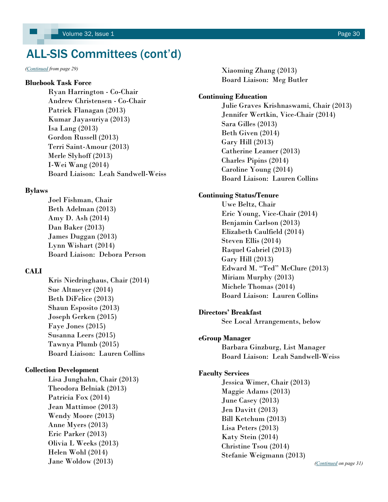## <span id="page-29-0"></span>ALL-SIS Committees (cont'd)

### **Bluebook Task Force**

Ryan Harrington - Co-Chair Andrew Christensen - Co-Chair Patrick Flanagan (2013) Kumar Jayasuriya (2013) Isa Lang (2013) Gordon Russell (2013) Terri Saint-Amour (2013) Merle Slyhoff (2013) I-Wei Wang (2014) Board Liaison: Leah Sandwell-Weiss

### **Bylaws**

Joel Fishman, Chair Beth Adelman (2013) Amy D. Ash (2014) Dan Baker (2013) James Duggan (2013) Lynn Wishart (2014) Board Liaison: Debora Person

### **CALI**

Kris Niedringhaus, Chair (2014) Sue Altmeyer (2014) Beth DiFelice (2013) Shaun Esposito (2013) Joseph Gerken (2015) Faye Jones (2015) Susanna Leers (2015) Tawnya Plumb (2015) Board Liaison: Lauren Collins

### **Collection Development**

Lisa Junghahn, Chair (2013) Theodora Belniak (2013) Patricia Fox (2014) Jean Mattimoe (2013) Wendy Moore (2013) Anne Myers (2013) Eric Parker (2013) Olivia L Weeks (2013) Helen Wohl (2014) Jane Woldow (2013)

*[\(Continued](#page-28-0) from page 29)* Xiaoming Zhang (2013) Board Liaison: Meg Butler

### **Continuing Education**

Julie Graves Krishnaswami, Chair (2013) Jennifer Wertkin, Vice-Chair (2014) Sara Gilles (2013) Beth Given (2014) Gary Hill (2013) Catherine Leamer (2013) Charles Pipins (2014) Caroline Young (2014) Board Liaison: Lauren Collins

### **Continuing Status/Tenure**

Uwe Beltz, Chair Eric Young, Vice-Chair (2014) Benjamin Carlson (2013) Elizabeth Caulfield (2014) Steven Ellis (2014) Raquel Gabriel (2013) Gary Hill (2013) Edward M. "Ted" McClure (2013) Miriam Murphy (2013) Michele Thomas (2014) Board Liaison: Lauren Collins

### **Directors' Breakfast**

See Local Arrangements, below

### **eGroup Manager**

Barbara Ginzburg, List Manager Board Liaison: Leah Sandwell-Weiss

### **Faculty Services**

Jessica Wimer, Chair (2013) Maggie Adams (2013) June Casey (2013) Jen Davitt (2013) Bill Ketchum (2013) Lisa Peters (2013) Katy Stein (2014) Christine Tsou (2014) Stefanie Weigmann (2013)

*[\(Continued](#page-30-0) on page 31)*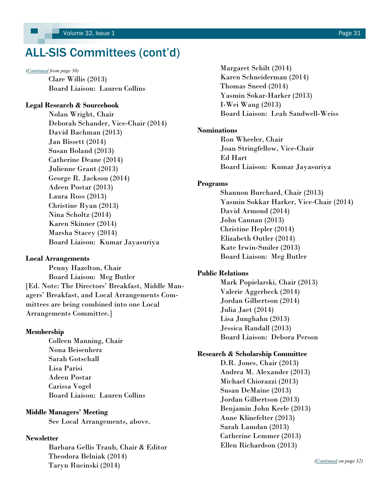## <span id="page-30-0"></span>ALL-SIS Committees (cont'd)

Clare Willis (2013) Board Liaison: Lauren Collins

### **Legal Research & Sourcebook**

Nolan Wright, Chair Deborah Schander, Vice-Chair (2014) David Bachman (2013) Jan Bissett (2014) Susan Boland (2013) Catherine Deane (2014) Julienne Grant (2013) George R. Jackson (2014) Adeen Postar (2013) Laura Ross (2013) Christine Ryan (2013) Nina Scholtz (2014) Karen Skinner (2014) Marsha Stacey (2014) Board Liaison: Kumar Jayasuriya

### **Local Arrangements**

Penny Hazelton, Chair Board Liaison: Meg Butler [Ed. Note: The Directors' Breakfast, Middle Managers' Breakfast, and Local Arrangements Committees are being combined into one Local Arrangements Committee.]

### **Membership**

Colleen Manning, Chair Nona Beisenherz Sarah Gotschall Lisa Parisi Adeen Postar Carissa Vogel Board Liaison: Lauren Collins

### **Middle Managers' Meeting**

See Local Arrangements, above.

### **Newsletter**

Barbara Gellis Traub, Chair & Editor Theodora Belniak (2014) Taryn Rucinski (2014)

*[\(Continued](#page-29-0) from page 30)* Margaret Schilt (2014) Karen Schneiderman (2014) Thomas Sneed (2014) Yasmin Sokar-Harker (2013) I-Wei Wang (2013) Board Liaison: Leah Sandwell-Weiss

### **Nominations**

Ron Wheeler, Chair Joan Stringfellow, Vice-Chair Ed Hart Board Liaison: Kumar Jayasuriya

### **Programs**

Shannon Burchard, Chair (2013) Yasmin Sokkar Harker, Vice-Chair (2014) David Armond (2014) John Cannan (2013) Christine Hepler (2014) Elizabeth Outler (2014) Kate Irwin-Smiler (2013) Board Liaison: Meg Butler

### **Public Relations**

Mark Popielarski, Chair (2013) Valerie Aggerbeck (2014) Jordan Gilbertson (2014) Julia Jaet (2014) Lisa Junghahn (2013) Jessica Randall (2013) Board Liaison: Debora Person

### **Research & Scholarship Committee**

D.R. Jones, Chair (2013) Andrea M. Alexander (2013) Michael Chiorazzi (2013) Susan DeMaine (2013) Jordan Gilbertson (2013) Benjamin John Keele (2013) Anne Klinefelter (2013) Sarah Lamdan (2013) Catherine Lemmer (2013) Ellen Richardson (2013)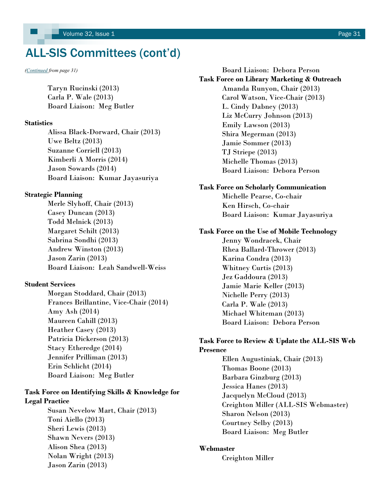## <span id="page-31-0"></span>ALL-SIS Committees (cont'd)

Taryn Rucinski (2013) Carla P. Wale (2013) Board Liaison: Meg Butler

### **Statistics**

Alissa Black-Dorward, Chair (2013) Uwe Beltz (2013) Suzanne Corriell (2013) Kimberli A Morris (2014) Jason Sowards (2014) Board Liaison: Kumar Jayasuriya

### **Strategic Planning**

Merle Slyhoff, Chair (2013) Casey Duncan (2013) Todd Melnick (2013) Margaret Schilt (2013) Sabrina Sondhi (2013) Andrew Winston (2013) Jason Zarin (2013) Board Liaison: Leah Sandwell-Weiss

### **Student Services**

Morgan Stoddard, Chair (2013) Frances Brillantine, Vice-Chair (2014) Amy Ash (2014) Maureen Cahill (2013) Heather Casey (2013) Patricia Dickerson (2013) Stacy Etheredge (2014) Jennifer Prilliman (2013) Erin Schlicht (2014) Board Liaison: Meg Butler

### **Task Force on Identifying Skills & Knowledge for Legal Practice**

Susan Nevelow Mart, Chair (2013) Toni Aiello (2013) Sheri Lewis (2013) Shawn Nevers (2013) Alison Shea (2013) Nolan Wright (2013) Jason Zarin (2013)

*([Continued](#page-30-0) from page 31)* Board Liaison: Debora Person **Task Force on Library Marketing & Outreach** Amanda Runyon, Chair (2013) Carol Watson, Vice-Chair (2013) L. Cindy Dabney (2013) Liz McCurry Johnson (2013) Emily Lawson (2013) Shira Megerman (2013) Jamie Sommer (2013) TJ Striepe (2013) Michelle Thomas (2013) Board Liaison: Debora Person

### **Task Force on Scholarly Communication**

Michelle Pearse, Co-chair Ken Hirsch, Co-chair Board Liaison: Kumar Jayasuriya

### **Task Force on the Use of Mobile Technology**

Jenny Wondracek, Chair Rhea Ballard-Thrower (2013) Karina Condra (2013) Whitney Curtis (2013) Jez Gaddoura (2013) Jamie Marie Keller (2013) Nichelle Perry (2013) Carla P. Wale (2013) Michael Whiteman (2013) Board Liaison: Debora Person

### **Task Force to Review & Update the ALL-SIS Web Presence**

Ellen Augustiniak, Chair (2013) Thomas Boone (2013) Barbara Ginzburg (2013) Jessica Hanes (2013) Jacquelyn McCloud (2013) Creighton Miller (ALL-SIS Webmaster) Sharon Nelson (2013) Courtney Selby (2013) Board Liaison: Meg Butler

### **Webmaster**

Creighton Miller